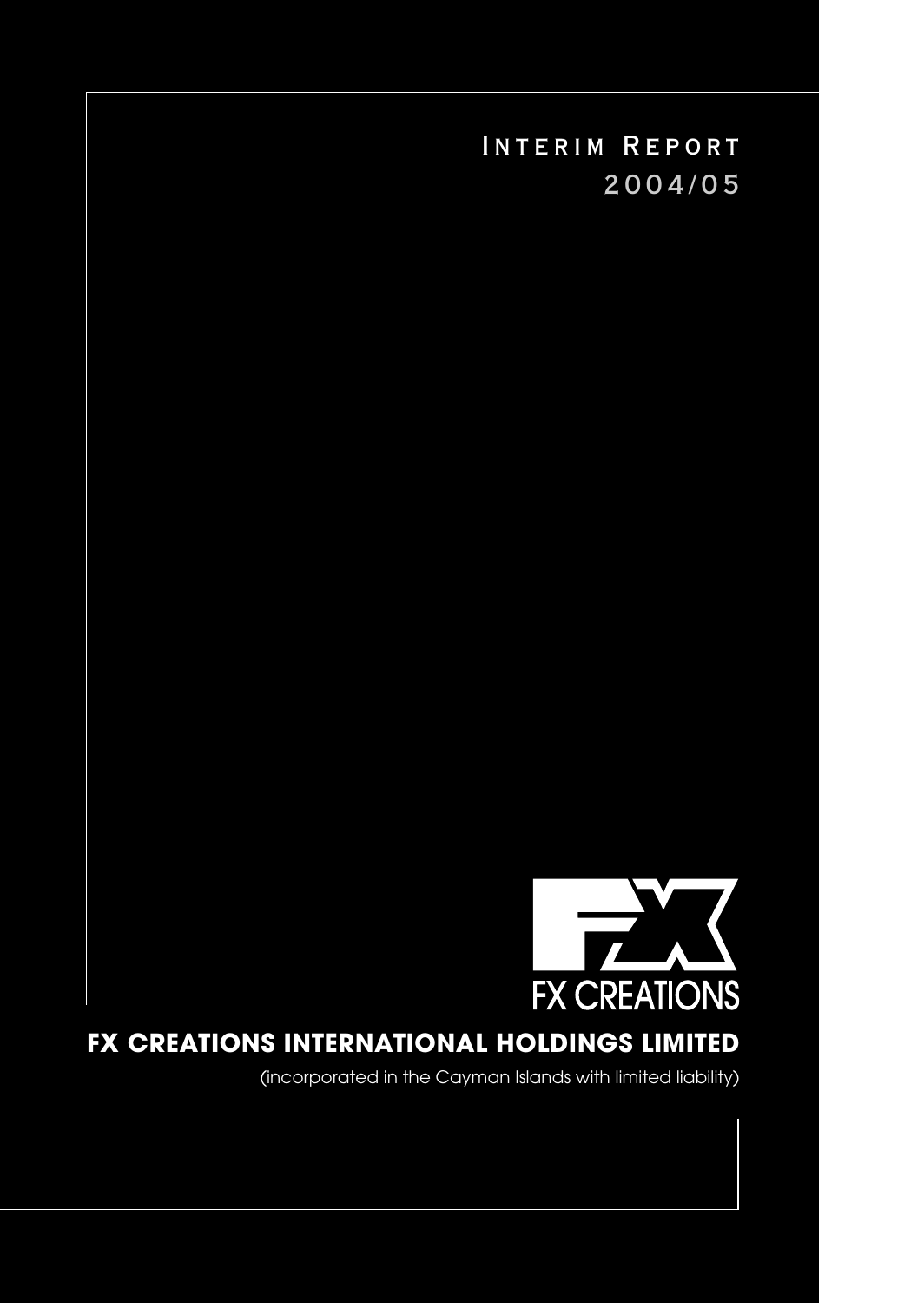

# FX CREATIONS INTERNATIONAL HOLDINGS LIMITED

(incorporated in the Cayman Islands with limited liability)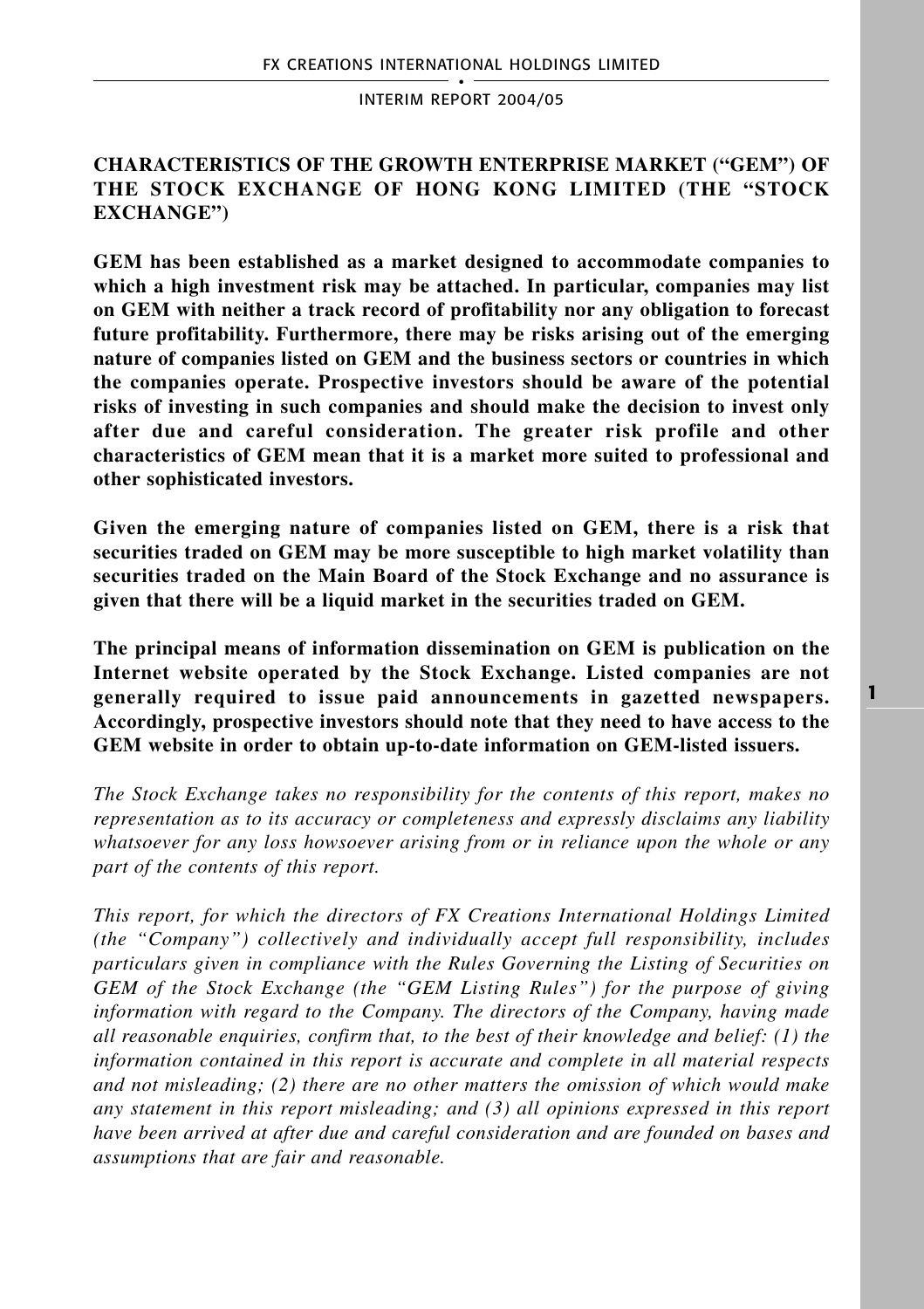# **CHARACTERISTICS OF THE GROWTH ENTERPRISE MARKET ("GEM") OF THE STOCK EXCHANGE OF HONG KONG LIMITED (THE "STOCK EXCHANGE")**

**GEM has been established as a market designed to accommodate companies to which a high investment risk may be attached. In particular, companies may list on GEM with neither a track record of profitability nor any obligation to forecast future profitability. Furthermore, there may be risks arising out of the emerging nature of companies listed on GEM and the business sectors or countries in which the companies operate. Prospective investors should be aware of the potential risks of investing in such companies and should make the decision to invest only after due and careful consideration. The greater risk profile and other characteristics of GEM mean that it is a market more suited to professional and other sophisticated investors.**

**Given the emerging nature of companies listed on GEM, there is a risk that securities traded on GEM may be more susceptible to high market volatility than securities traded on the Main Board of the Stock Exchange and no assurance is given that there will be a liquid market in the securities traded on GEM.**

**The principal means of information dissemination on GEM is publication on the Internet website operated by the Stock Exchange. Listed companies are not generally required to issue paid announcements in gazetted newspapers. Accordingly, prospective investors should note that they need to have access to the GEM website in order to obtain up-to-date information on GEM-listed issuers.**

*The Stock Exchange takes no responsibility for the contents of this report, makes no representation as to its accuracy or completeness and expressly disclaims any liability whatsoever for any loss howsoever arising from or in reliance upon the whole or any part of the contents of this report.*

*This report, for which the directors of FX Creations International Holdings Limited (the "Company") collectively and individually accept full responsibility, includes particulars given in compliance with the Rules Governing the Listing of Securities on GEM of the Stock Exchange (the "GEM Listing Rules") for the purpose of giving information with regard to the Company. The directors of the Company, having made all reasonable enquiries, confirm that, to the best of their knowledge and belief: (1) the information contained in this report is accurate and complete in all material respects and not misleading; (2) there are no other matters the omission of which would make any statement in this report misleading; and (3) all opinions expressed in this report have been arrived at after due and careful consideration and are founded on bases and assumptions that are fair and reasonable.*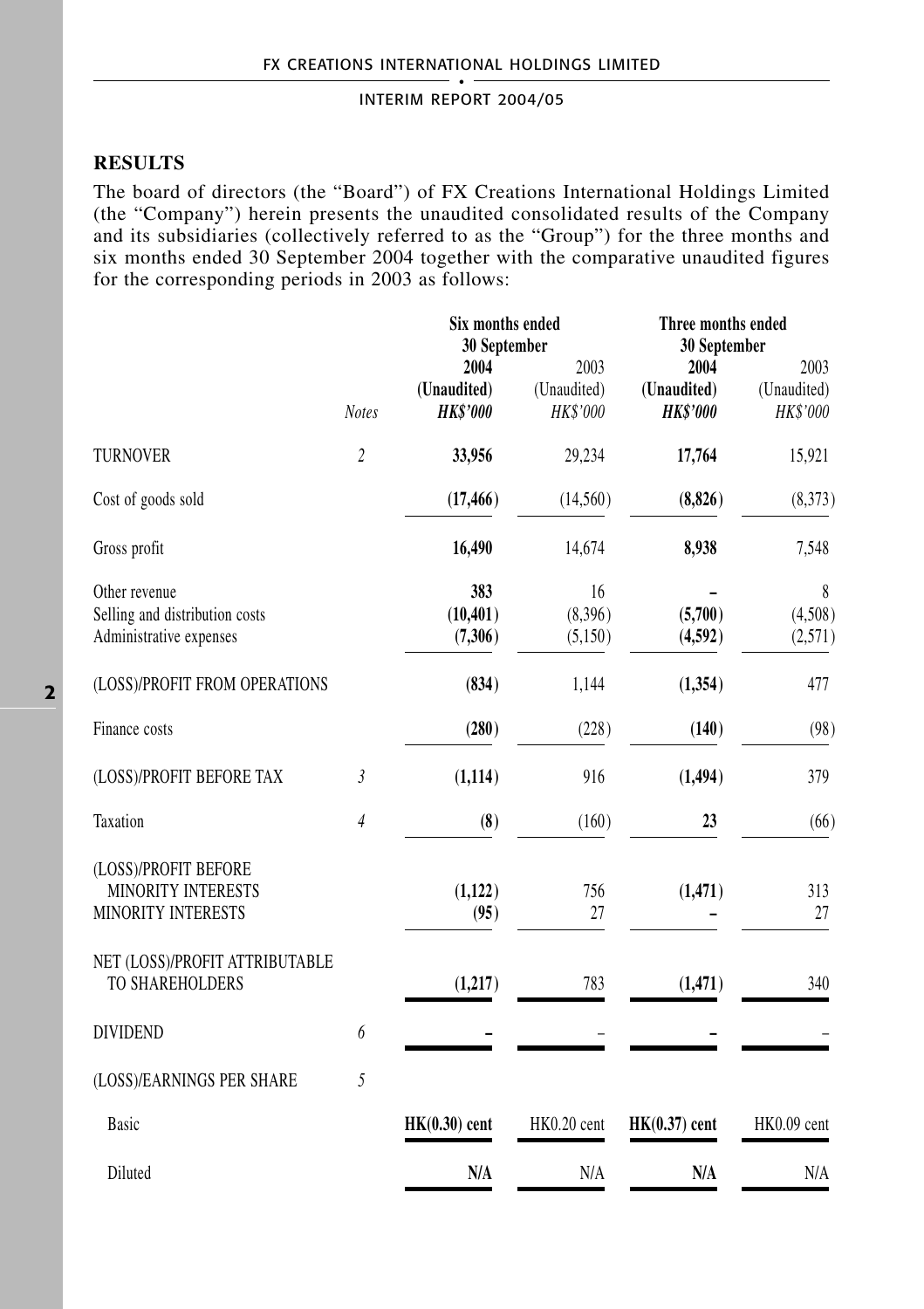# **RESULTS**

The board of directors (the "Board") of FX Creations International Holdings Limited (the "Company") herein presents the unaudited consolidated results of the Company and its subsidiaries (collectively referred to as the "Group") for the three months and six months ended 30 September 2004 together with the comparative unaudited figures for the corresponding periods in 2003 as follows:

|                |                                        |                                 | Three months ended<br>30 September     |                                 |  |
|----------------|----------------------------------------|---------------------------------|----------------------------------------|---------------------------------|--|
| <b>Notes</b>   | 2004<br>(Unaudited)<br><b>HK\$'000</b> | 2003<br>(Unaudited)<br>HK\$'000 | 2004<br>(Unaudited)<br><b>HK\$'000</b> | 2003<br>(Unaudited)<br>HK\$'000 |  |
| $\overline{c}$ | 33,956                                 | 29,234                          | 17,764                                 | 15,921                          |  |
|                | (17, 466)                              | (14,560)                        | (8, 826)                               | (8,373)                         |  |
|                | 16,490                                 | 14,674                          | 8,938                                  | 7,548                           |  |
|                | 383<br>(10, 401)<br>(7,306)            | 16<br>(8,396)<br>(5,150)        | (5,700)<br>(4,592)                     | 8<br>(4,508)<br>(2,571)         |  |
|                | (834)                                  | 1,144                           | (1, 354)                               | 477                             |  |
|                | (280)                                  | (228)                           | (140)                                  | (98)                            |  |
| 3              | (1, 114)                               | 916                             | (1, 494)                               | 379                             |  |
| $\overline{4}$ | (8)                                    | (160)                           | 23                                     | (66)                            |  |
|                | (1,122)<br>(95)                        | 756<br>27                       | (1,471)                                | 313<br>27                       |  |
|                | (1, 217)                               | 783                             | (1,471)                                | 340                             |  |
| 6              |                                        |                                 |                                        |                                 |  |
| 5              |                                        |                                 |                                        |                                 |  |
|                | $HK(0.30)$ cent                        | HK0.20 cent                     | $HK(0.37)$ cent                        | HK0.09 cent                     |  |
|                | N/A                                    | N/A                             | N/A                                    | N/A                             |  |
|                | NET (LOSS)/PROFIT ATTRIBUTABLE         |                                 | Six months ended<br>30 September       |                                 |  |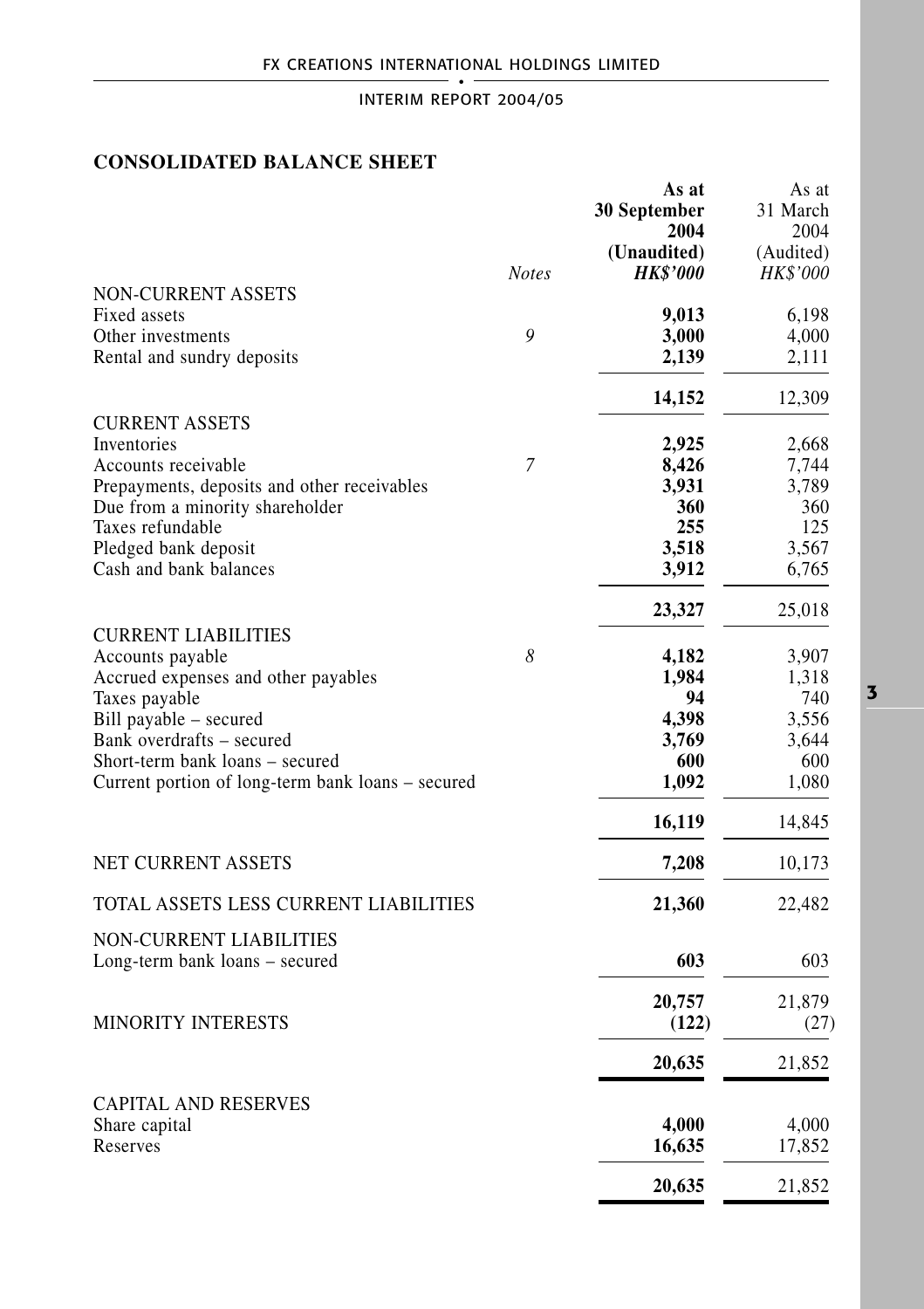# **CONSOLIDATED BALANCE SHEET**

|                                                   | <b>Notes</b> | As at<br>30 September<br>2004<br>(Unaudited)<br><b>HK\$'000</b> | As at<br>31 March<br>2004<br>(Audited)<br><b>HK\$'000</b> |
|---------------------------------------------------|--------------|-----------------------------------------------------------------|-----------------------------------------------------------|
| <b>NON-CURRENT ASSETS</b>                         |              |                                                                 |                                                           |
| Fixed assets                                      |              | 9,013                                                           | 6,198                                                     |
| Other investments                                 | 9            | 3,000                                                           | 4,000                                                     |
| Rental and sundry deposits                        |              | 2,139                                                           | 2,111                                                     |
|                                                   |              | 14,152                                                          | 12,309                                                    |
| <b>CURRENT ASSETS</b>                             |              |                                                                 |                                                           |
| Inventories                                       |              | 2,925                                                           | 2,668                                                     |
| Accounts receivable                               | 7            | 8,426                                                           | 7,744                                                     |
| Prepayments, deposits and other receivables       |              | 3,931                                                           | 3,789                                                     |
| Due from a minority shareholder                   |              | 360                                                             | 360                                                       |
| Taxes refundable                                  |              | 255                                                             | 125                                                       |
| Pledged bank deposit                              |              | 3,518                                                           | 3,567                                                     |
| Cash and bank balances                            |              | 3,912                                                           | 6,765                                                     |
|                                                   |              | 23,327                                                          | 25,018                                                    |
| <b>CURRENT LIABILITIES</b><br>Accounts payable    | 8            | 4,182                                                           | 3,907                                                     |
| Accrued expenses and other payables               |              | 1,984                                                           | 1,318                                                     |
| Taxes payable                                     |              | 94                                                              | 740                                                       |
| Bill payable – secured                            |              | 4,398                                                           | 3,556                                                     |
| Bank overdrafts - secured                         |              | 3,769                                                           | 3,644                                                     |
| Short-term bank loans – secured                   |              | 600                                                             | 600                                                       |
| Current portion of long-term bank loans – secured |              | 1,092                                                           | 1,080                                                     |
|                                                   |              | 16,119                                                          | 14,845                                                    |
| <b>NET CURRENT ASSETS</b>                         |              | 7,208                                                           | 10,173                                                    |
| TOTAL ASSETS LESS CURRENT LIABILITIES             |              | 21,360                                                          | 22,482                                                    |
| NON-CURRENT LIABILITIES                           |              |                                                                 |                                                           |
| Long-term bank loans - secured                    |              | 603                                                             | 603                                                       |
|                                                   |              | 20,757                                                          | 21,879                                                    |
| <b>MINORITY INTERESTS</b>                         |              | (122)                                                           | (27)                                                      |
|                                                   |              | 20,635                                                          | 21,852                                                    |
|                                                   |              |                                                                 |                                                           |
| <b>CAPITAL AND RESERVES</b>                       |              |                                                                 |                                                           |
| Share capital                                     |              | 4,000                                                           | 4,000                                                     |
| Reserves                                          |              | 16,635                                                          | 17,852                                                    |
|                                                   |              | 20,635                                                          | 21,852                                                    |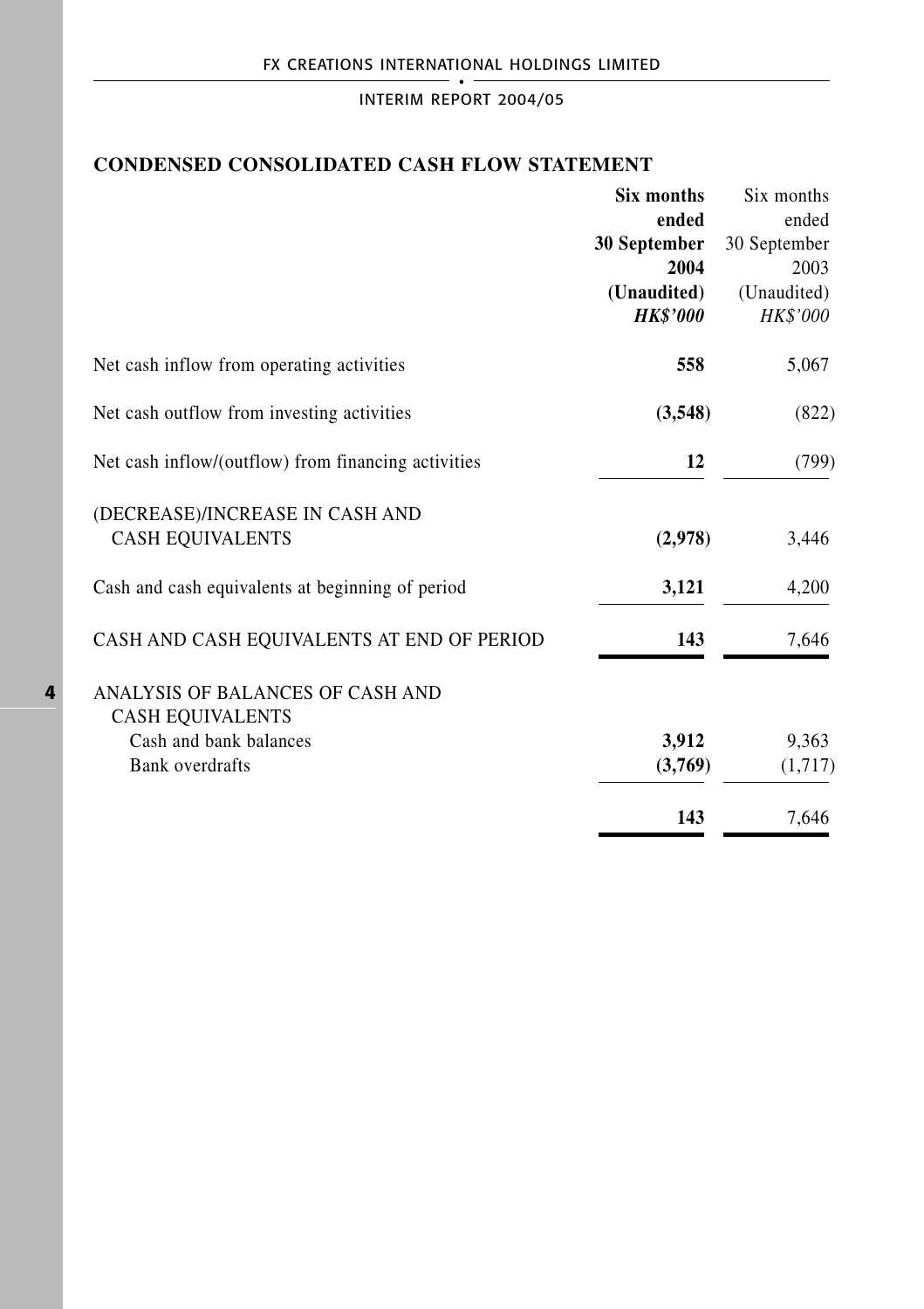# **CONDENSED CONSOLIDATED CASH FLOW STATEMENT**

|                                                     | <b>Six months</b> | Six months      |
|-----------------------------------------------------|-------------------|-----------------|
|                                                     | ended             | ended           |
|                                                     | 30 September      | 30 September    |
|                                                     | 2004              | 2003            |
|                                                     | (Unaudited)       | (Unaudited)     |
|                                                     | <b>HK\$'000</b>   | <b>HK\$'000</b> |
| Net cash inflow from operating activities           | 558               | 5,067           |
| Net cash outflow from investing activities          | (3,548)           | (822)           |
| Net cash inflow/(outflow) from financing activities | 12                | (799)           |
| (DECREASE)/INCREASE IN CASH AND                     |                   |                 |
| <b>CASH EQUIVALENTS</b>                             | (2,978)           | 3,446           |
| Cash and cash equivalents at beginning of period    | 3,121             | 4,200           |
| CASH AND CASH EQUIVALENTS AT END OF PERIOD          | 143               | 7,646           |
| ANALYSIS OF BALANCES OF CASH AND                    |                   |                 |
| <b>CASH EQUIVALENTS</b>                             |                   |                 |
| Cash and bank balances                              | 3,912             | 9,363           |
| <b>Bank</b> overdrafts                              | (3,769)           | (1,717)         |
|                                                     | 143               | 7,646           |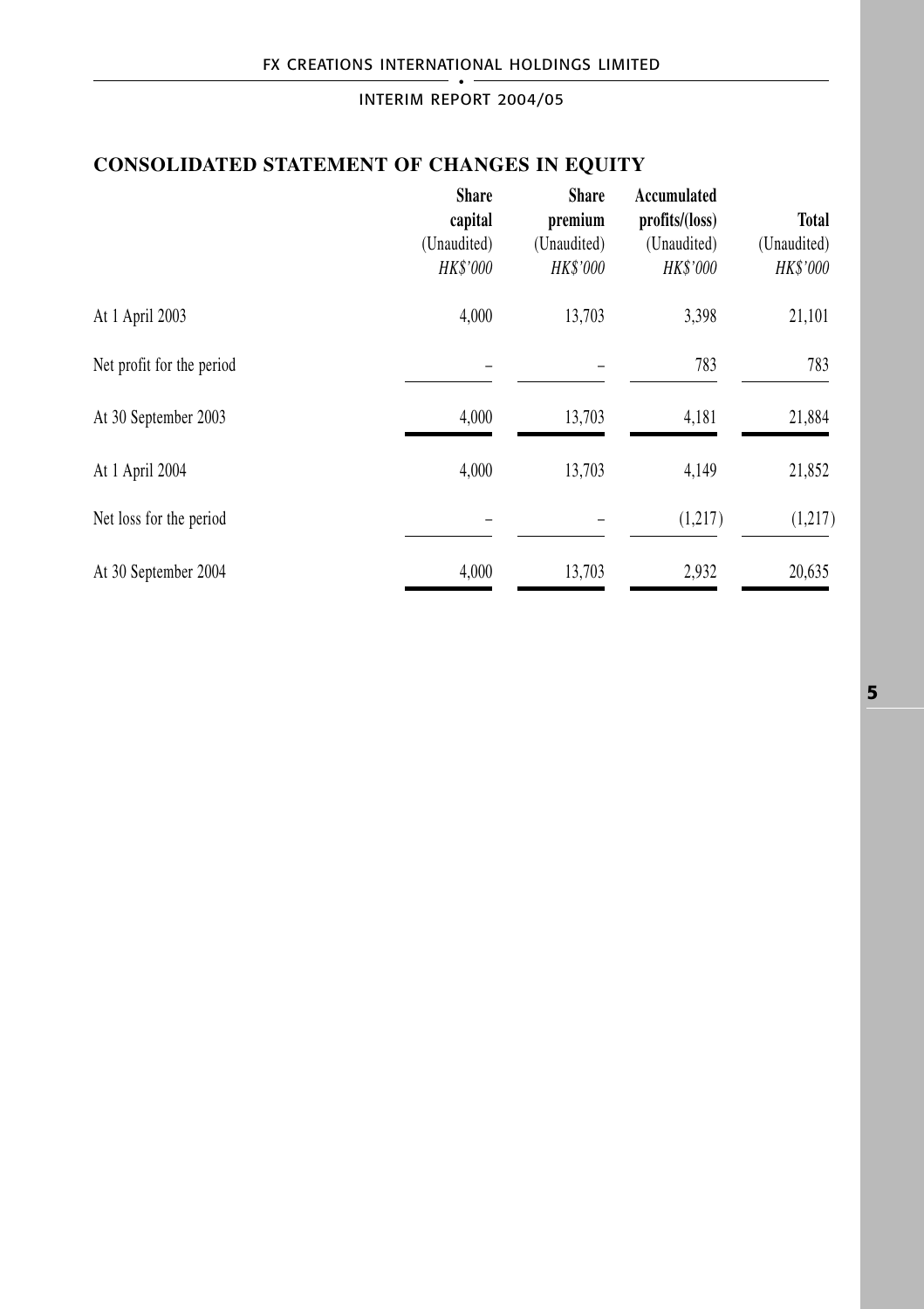# **CONSOLIDATED STATEMENT OF CHANGES IN EQUITY**

|                           | <b>Share</b><br>capital | <b>Share</b><br>premium | Accumulated<br>profits/(loss) | <b>Total</b> |
|---------------------------|-------------------------|-------------------------|-------------------------------|--------------|
|                           | (Unaudited)             | (Unaudited)             | (Unaudited)                   | (Unaudited)  |
|                           | HK\$'000                | HK\$'000                | HK\$'000                      | HK\$'000     |
| At 1 April 2003           | 4,000                   | 13,703                  | 3,398                         | 21,101       |
| Net profit for the period |                         |                         | 783                           | 783          |
| At 30 September 2003      | 4,000                   | 13,703                  | 4,181                         | 21,884       |
| At 1 April 2004           | 4,000                   | 13,703                  | 4,149                         | 21,852       |
| Net loss for the period   |                         |                         | (1,217)                       | (1,217)      |
| At 30 September 2004      | 4.000                   | 13.703                  | 2,932                         | 20,635       |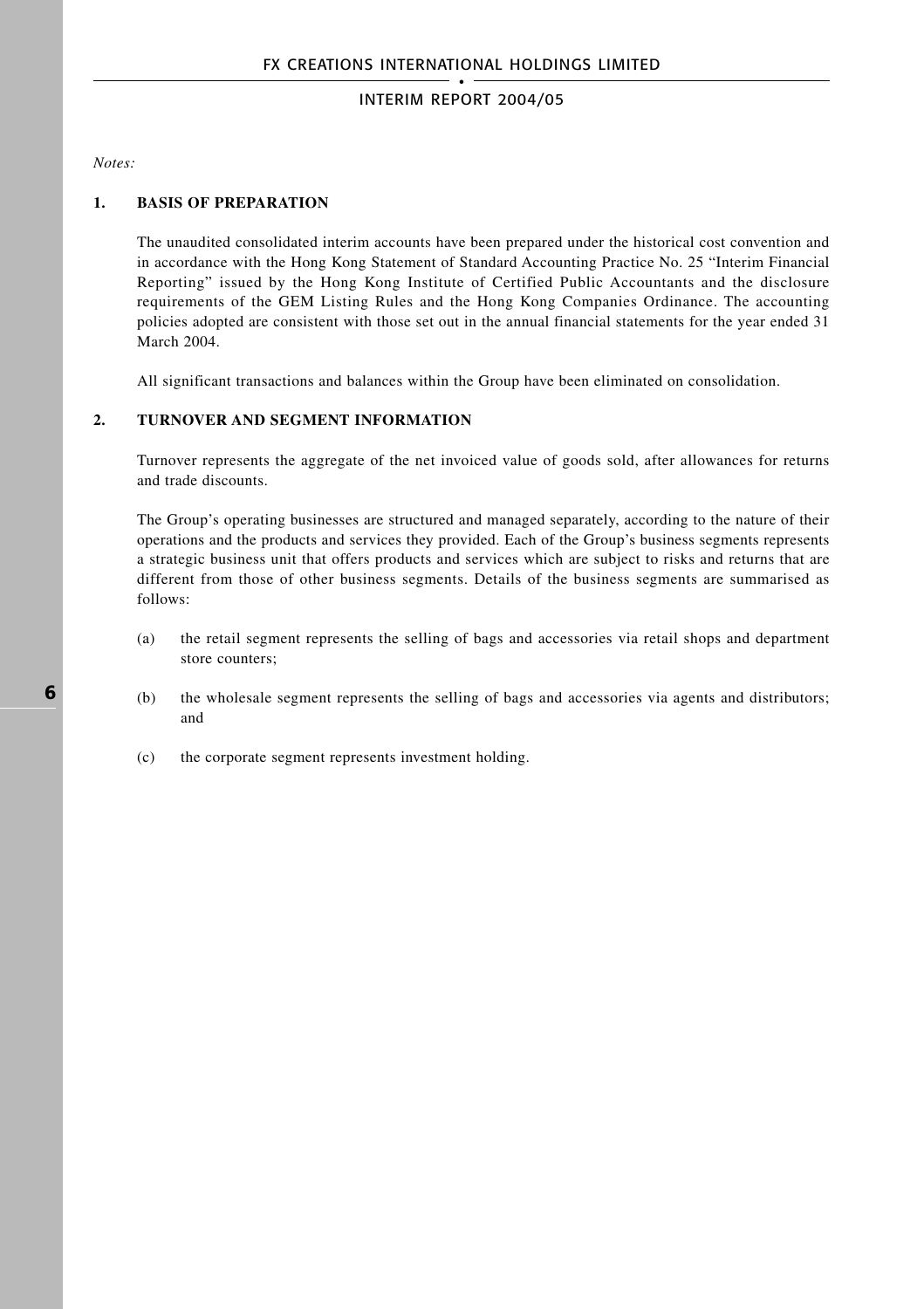*Notes:*

### **1. BASIS OF PREPARATION**

The unaudited consolidated interim accounts have been prepared under the historical cost convention and in accordance with the Hong Kong Statement of Standard Accounting Practice No. 25 "Interim Financial Reporting" issued by the Hong Kong Institute of Certified Public Accountants and the disclosure requirements of the GEM Listing Rules and the Hong Kong Companies Ordinance. The accounting policies adopted are consistent with those set out in the annual financial statements for the year ended 31 March 2004.

All significant transactions and balances within the Group have been eliminated on consolidation.

#### **2. TURNOVER AND SEGMENT INFORMATION**

Turnover represents the aggregate of the net invoiced value of goods sold, after allowances for returns and trade discounts.

The Group's operating businesses are structured and managed separately, according to the nature of their operations and the products and services they provided. Each of the Group's business segments represents a strategic business unit that offers products and services which are subject to risks and returns that are different from those of other business segments. Details of the business segments are summarised as follows:

- (a) the retail segment represents the selling of bags and accessories via retail shops and department store counters;
- (b) the wholesale segment represents the selling of bags and accessories via agents and distributors; and
- (c) the corporate segment represents investment holding.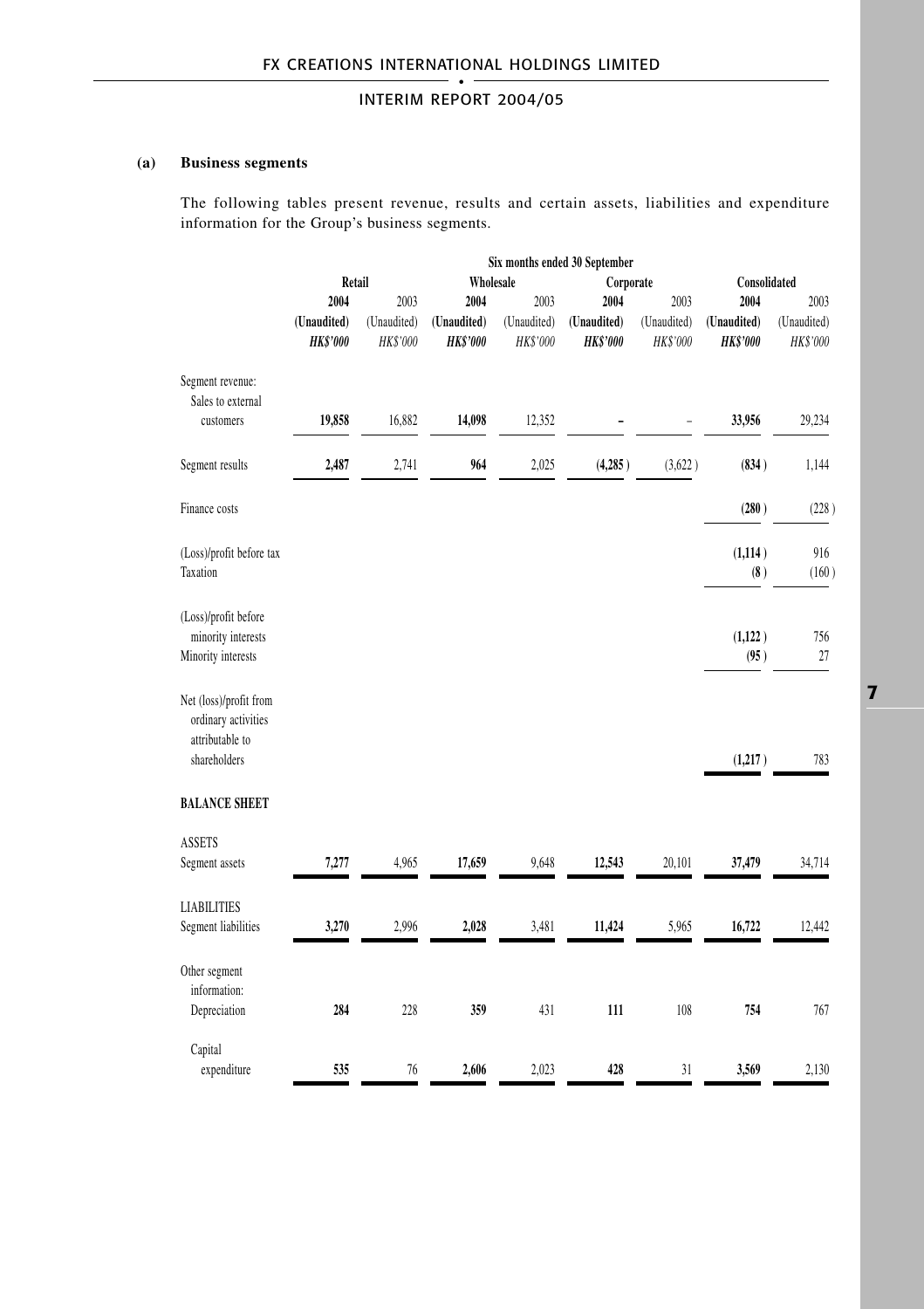### **(a) Business segments**

The following tables present revenue, results and certain assets, liabilities and expenditure information for the Group's business segments.

|                                                                                  | Six months ended 30 September  |                         |                                |                         |                                |                         |                                |                         |
|----------------------------------------------------------------------------------|--------------------------------|-------------------------|--------------------------------|-------------------------|--------------------------------|-------------------------|--------------------------------|-------------------------|
|                                                                                  | Retail                         |                         | Wholesale                      |                         | Consolidated                   |                         |                                |                         |
|                                                                                  | 2004                           | 2003                    | 2004                           | 2003                    | 2004                           | 2003                    | 2004                           | 2003                    |
|                                                                                  | (Unaudited)<br><b>HK\$'000</b> | (Unaudited)<br>HK\$'000 | (Unaudited)<br><b>HK\$'000</b> | (Unaudited)<br>HK\$'000 | (Unaudited)<br><b>HK\$'000</b> | (Unaudited)<br>HK\$'000 | (Unaudited)<br><b>HK\$'000</b> | (Unaudited)<br>HK\$'000 |
| Segment revenue:<br>Sales to external<br>customers                               | 19,858                         | 16,882                  | 14,098                         | 12,352                  |                                |                         | 33,956                         | 29,234                  |
|                                                                                  |                                |                         |                                |                         |                                |                         |                                |                         |
| Segment results                                                                  | 2,487                          | 2,741                   | 964                            | 2,025                   | (4,285)                        | (3,622)                 | (834)                          | 1,144                   |
| Finance costs                                                                    |                                |                         |                                |                         |                                |                         | (280)                          | (228)                   |
| (Loss)/profit before tax                                                         |                                |                         |                                |                         |                                |                         | (1, 114)                       | 916                     |
| Taxation                                                                         |                                |                         |                                |                         |                                |                         | (8)                            | (160)                   |
| (Loss)/profit before<br>minority interests                                       |                                |                         |                                |                         |                                |                         | (1,122)                        | 756                     |
| Minority interests                                                               |                                |                         |                                |                         |                                |                         | (95)                           | 27                      |
| Net (loss)/profit from<br>ordinary activities<br>attributable to<br>shareholders |                                |                         |                                |                         |                                |                         | (1,217)                        | 783                     |
| <b>BALANCE SHEET</b>                                                             |                                |                         |                                |                         |                                |                         |                                |                         |
| <b>ASSETS</b>                                                                    |                                |                         |                                |                         |                                |                         |                                |                         |
| Segment assets                                                                   | 7,277                          | 4,965                   | 17,659                         | 9,648                   | 12,543                         | 20,101                  | 37,479                         | 34,714                  |
| <b>LIABILITIES</b>                                                               |                                |                         |                                |                         |                                |                         |                                |                         |
| Segment liabilities                                                              | 3,270                          | 2,996                   | 2,028                          | 3,481                   | 11,424                         | 5,965                   | 16,722                         | 12,442                  |
| Other segment                                                                    |                                |                         |                                |                         |                                |                         |                                |                         |
| information:<br>Depreciation                                                     | 284                            | 228                     | 359                            | 431                     | 111                            | 108                     | 754                            | 767                     |
|                                                                                  |                                |                         |                                |                         |                                |                         |                                |                         |
| Capital                                                                          |                                |                         |                                |                         |                                |                         |                                |                         |
| expenditure                                                                      | 535                            | 76                      | 2,606                          | 2,023                   | 428                            | 31                      | 3,569                          | 2,130                   |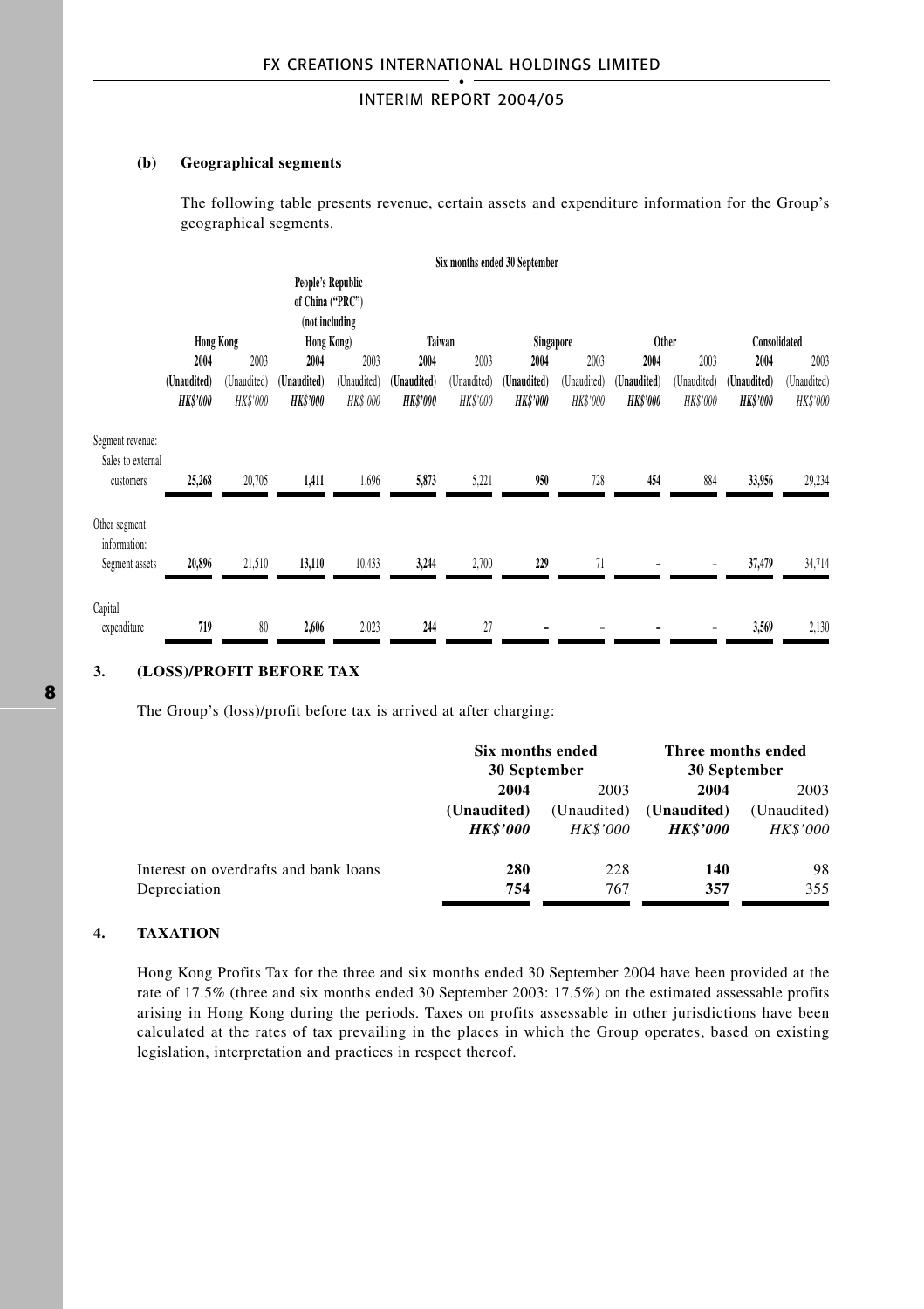#### **(b) Geographical segments**

The following table presents revenue, certain assets and expenditure information for the Group's geographical segments.

|                                                    |                                |                         |                                                         |                                |                                |                         | Six months ended 30 September |                         |                                |                         |                               |                         |
|----------------------------------------------------|--------------------------------|-------------------------|---------------------------------------------------------|--------------------------------|--------------------------------|-------------------------|-------------------------------|-------------------------|--------------------------------|-------------------------|-------------------------------|-------------------------|
|                                                    |                                |                         | People's Republic<br>of China ("PRC")<br>(not including |                                |                                |                         |                               |                         |                                |                         |                               |                         |
|                                                    | <b>Hong Kong</b>               |                         | Hong Kong)                                              |                                | Taiwan                         |                         | Singapore                     |                         | <b>Other</b>                   |                         | Consolidated                  |                         |
|                                                    | 2004                           | 2003                    | 2004                                                    | 2003                           | 2004                           | 2003                    | 2004                          | 2003                    | 2004                           | 2003                    | 2004                          | 2003                    |
|                                                    | (Unaudited)<br><b>HK\$'000</b> | (Unaudited)<br>HK\$'000 | (Unaudited)<br><b>HK\$'000</b>                          | (Unaudited)<br><b>HK\$'000</b> | (Unaudited)<br><b>HK\$'000</b> | (Unaudited)<br>HK\$'000 | (Unaudited)<br><b>HKS'000</b> | (Unaudited)<br>HK\$'000 | (Unaudited)<br><b>HK\$'000</b> | (Unaudited)<br>HK\$'000 | (Unaudited)<br><b>HKS'000</b> | (Unaudited)<br>HK\$'000 |
| Segment revenue:<br>Sales to external<br>customers | 25,268                         | 20,705                  | 1,411                                                   | 1,696                          | 5,873                          | 5,221                   | 950                           | 728                     | 454                            | 884                     | 33,956                        | 29,234                  |
| Other segment<br>information:<br>Segment assets    | 20,896                         | 21,510                  | 13,110                                                  | 10,433                         | 3,244                          | 2,700                   | 229                           | 71                      |                                |                         | 37,479                        | 34,714                  |
| Capital<br>expenditure                             | 719                            | 80                      | 2,606                                                   | 2,023                          | 244                            | 27                      |                               |                         |                                |                         | 3,569                         | 2,130                   |

### **3. (LOSS)/PROFIT BEFORE TAX**

The Group's (loss)/profit before tax is arrived at after charging:

| Six months ended |                 | Three months ended     |                 |  |
|------------------|-----------------|------------------------|-----------------|--|
|                  |                 | 30 September           |                 |  |
| 2004             | 2003            |                        | 2003            |  |
| (Unaudited)      | (Unaudited)     | (Unaudited)            | (Unaudited)     |  |
| <b>HK\$'000</b>  | <i>HK\$'000</i> | <i><b>HK\$'000</b></i> | <b>HK\$'000</b> |  |
| 280              | 228             | 140                    | 98              |  |
| 754              | 767             | 357                    | 355             |  |
|                  |                 | 30 September           | 2004            |  |

#### **4. TAXATION**

Hong Kong Profits Tax for the three and six months ended 30 September 2004 have been provided at the rate of 17.5% (three and six months ended 30 September 2003: 17.5%) on the estimated assessable profits arising in Hong Kong during the periods. Taxes on profits assessable in other jurisdictions have been calculated at the rates of tax prevailing in the places in which the Group operates, based on existing legislation, interpretation and practices in respect thereof.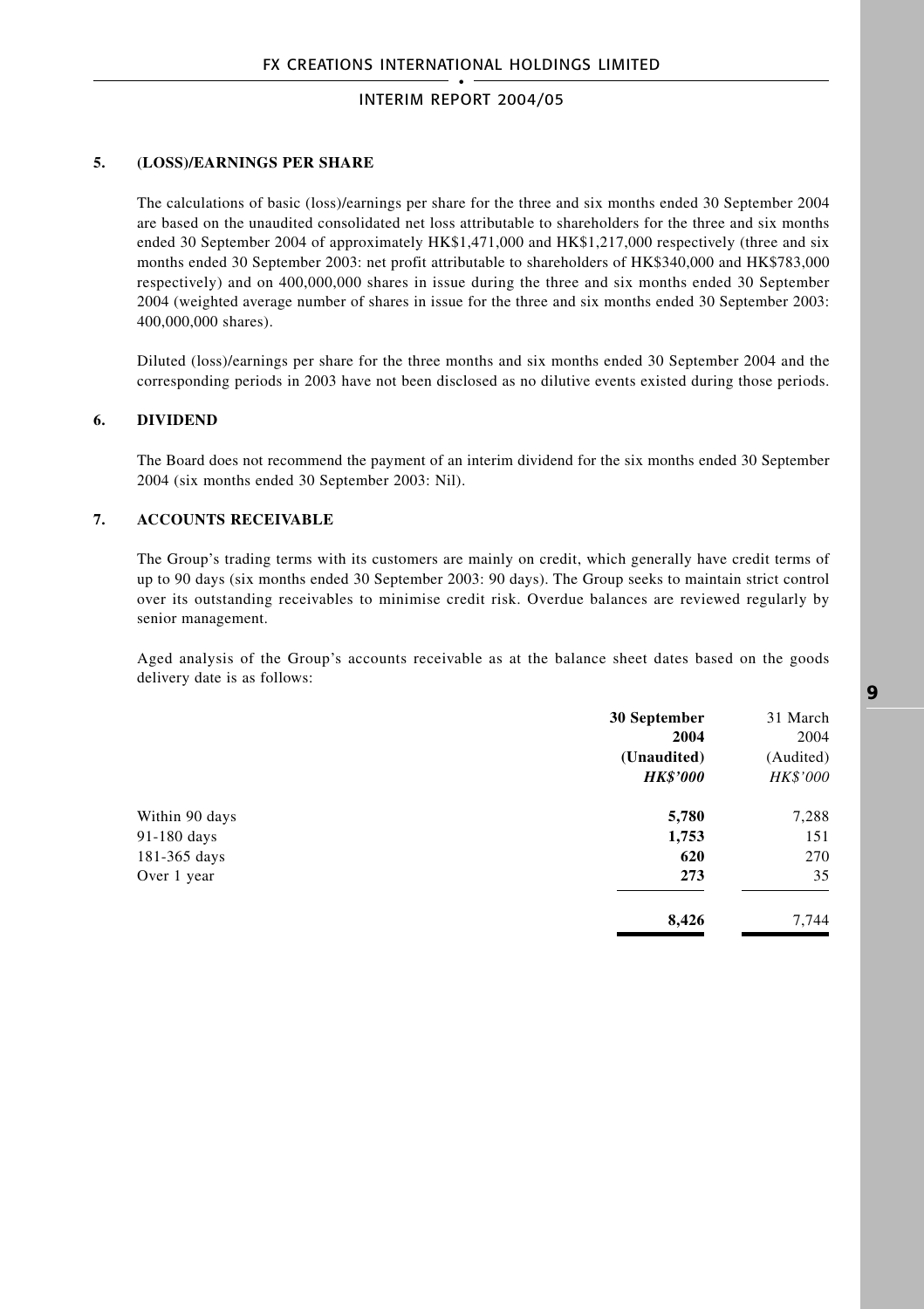#### **5. (LOSS)/EARNINGS PER SHARE**

The calculations of basic (loss)/earnings per share for the three and six months ended 30 September 2004 are based on the unaudited consolidated net loss attributable to shareholders for the three and six months ended 30 September 2004 of approximately HK\$1,471,000 and HK\$1,217,000 respectively (three and six months ended 30 September 2003: net profit attributable to shareholders of HK\$340,000 and HK\$783,000 respectively) and on 400,000,000 shares in issue during the three and six months ended 30 September 2004 (weighted average number of shares in issue for the three and six months ended 30 September 2003: 400,000,000 shares).

Diluted (loss)/earnings per share for the three months and six months ended 30 September 2004 and the corresponding periods in 2003 have not been disclosed as no dilutive events existed during those periods.

#### **6. DIVIDEND**

The Board does not recommend the payment of an interim dividend for the six months ended 30 September 2004 (six months ended 30 September 2003: Nil).

### **7. ACCOUNTS RECEIVABLE**

The Group's trading terms with its customers are mainly on credit, which generally have credit terms of up to 90 days (six months ended 30 September 2003: 90 days). The Group seeks to maintain strict control over its outstanding receivables to minimise credit risk. Overdue balances are reviewed regularly by senior management.

Aged analysis of the Group's accounts receivable as at the balance sheet dates based on the goods delivery date is as follows:

|                | 30 September<br>2004<br>(Unaudited)<br><b>HK\$'000</b> | 31 March<br>2004<br>(Audited)<br><b>HK\$'000</b> |
|----------------|--------------------------------------------------------|--------------------------------------------------|
| Within 90 days | 5,780                                                  | 7,288                                            |
| 91-180 days    | 1,753                                                  | 151                                              |
| 181-365 days   | 620                                                    | 270                                              |
| Over 1 year    | 273                                                    | 35                                               |
|                | 8,426                                                  | 7,744                                            |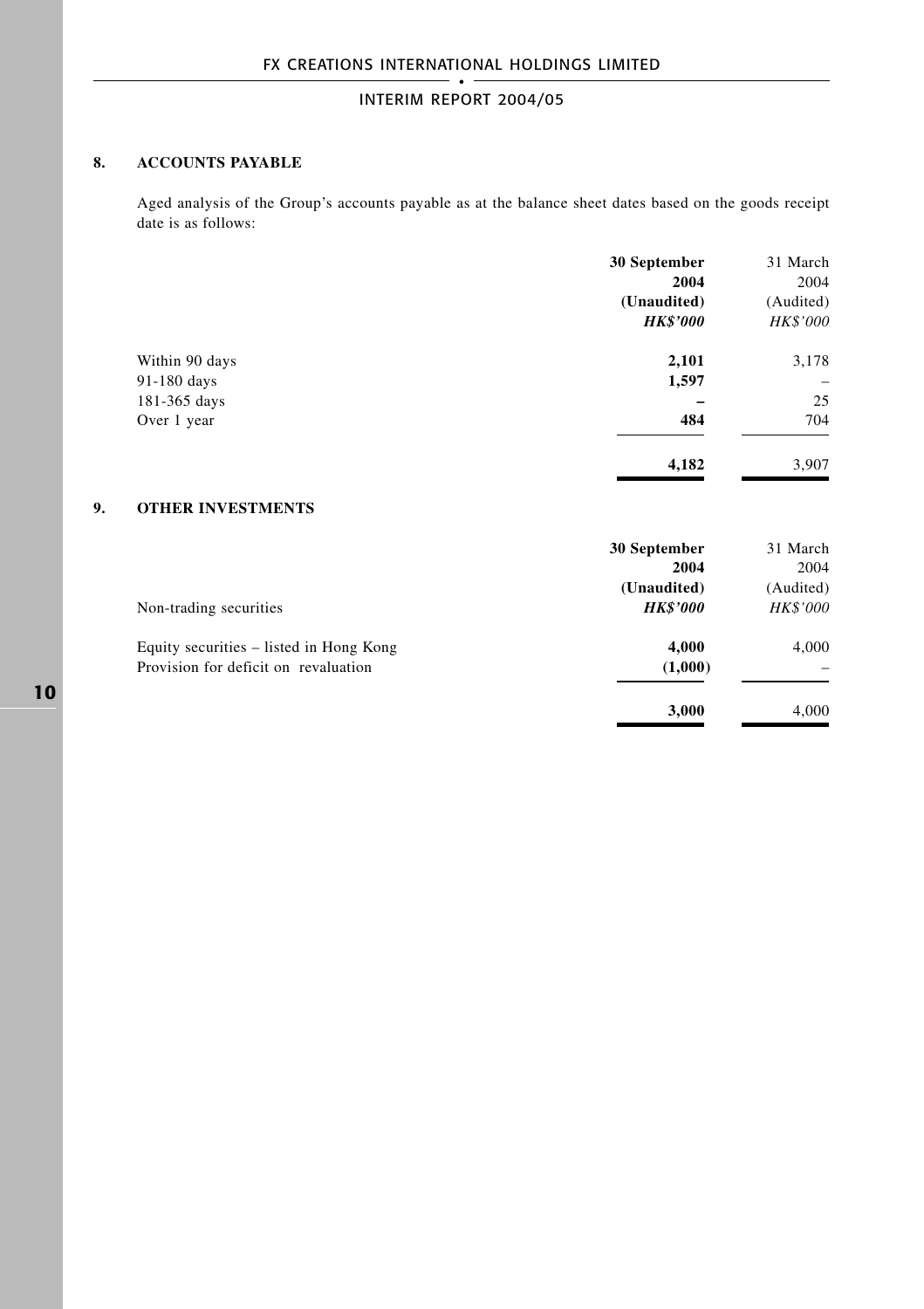### **8. ACCOUNTS PAYABLE**

Aged analysis of the Group's accounts payable as at the balance sheet dates based on the goods receipt date is as follows:

|                | 30 September    | 31 March                 |
|----------------|-----------------|--------------------------|
|                | 2004            | 2004                     |
|                | (Unaudited)     | (Audited)                |
|                | <b>HK\$'000</b> | HK\$'000                 |
| Within 90 days | 2,101           | 3,178                    |
| 91-180 days    | 1,597           | $\overline{\phantom{0}}$ |
| 181-365 days   |                 | 25                       |
| Over 1 year    | 484             | 704                      |
|                | 4,182           | 3,907                    |

### **9. OTHER INVESTMENTS**

|                                         | 30 September    | 31 March        |
|-----------------------------------------|-----------------|-----------------|
|                                         | 2004            | 2004            |
|                                         | (Unaudited)     | (Audited)       |
| Non-trading securities                  | <b>HK\$'000</b> | <b>HK\$'000</b> |
| Equity securities – listed in Hong Kong | 4,000           | 4,000           |
| Provision for deficit on revaluation    | (1,000)         |                 |
|                                         | 3.000           | 4.000           |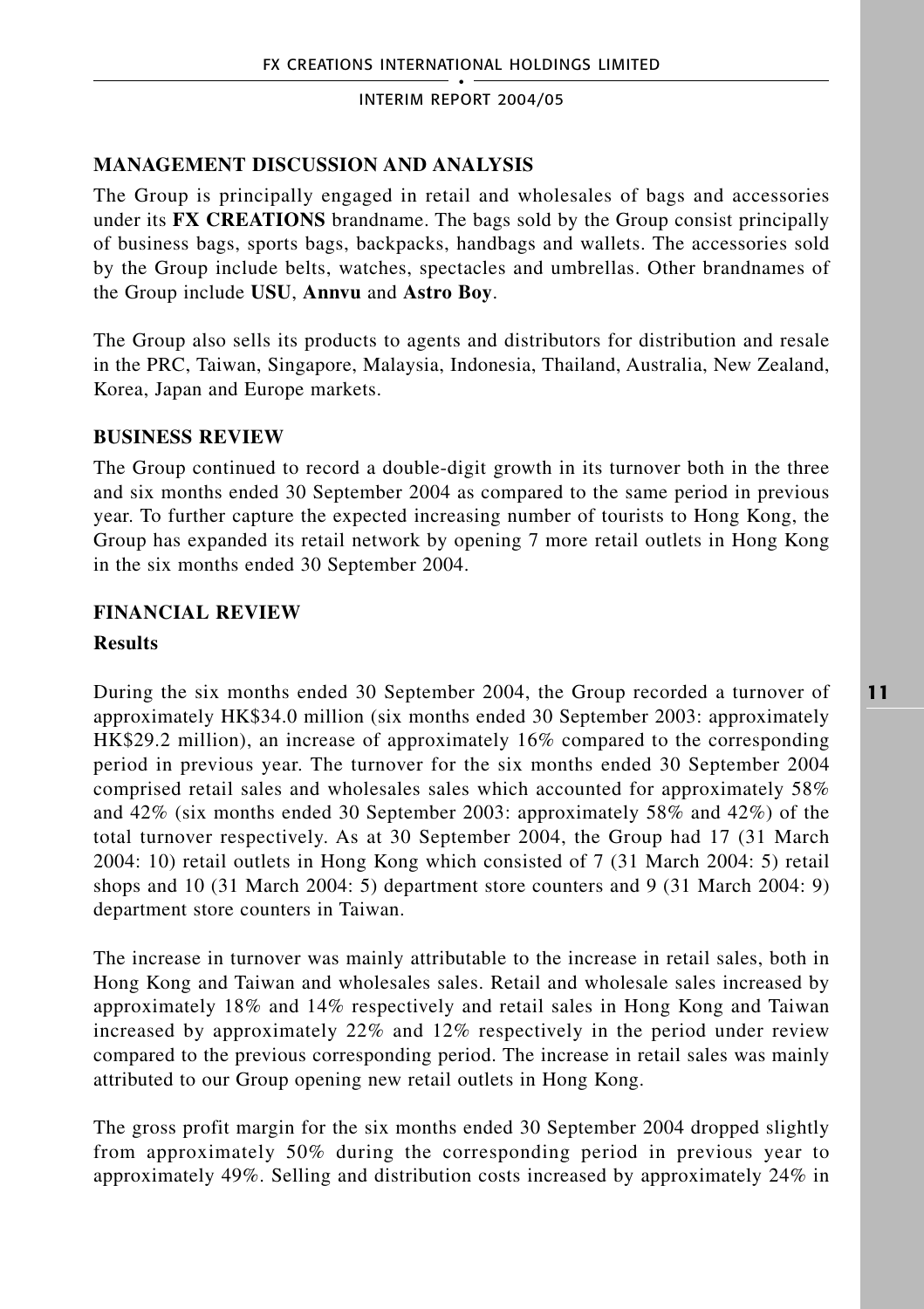# **MANAGEMENT DISCUSSION AND ANALYSIS**

The Group is principally engaged in retail and wholesales of bags and accessories under its **FX CREATIONS** brandname. The bags sold by the Group consist principally of business bags, sports bags, backpacks, handbags and wallets. The accessories sold by the Group include belts, watches, spectacles and umbrellas. Other brandnames of the Group include **USU**, **Annvu** and **Astro Boy**.

The Group also sells its products to agents and distributors for distribution and resale in the PRC, Taiwan, Singapore, Malaysia, Indonesia, Thailand, Australia, New Zealand, Korea, Japan and Europe markets.

# **BUSINESS REVIEW**

The Group continued to record a double-digit growth in its turnover both in the three and six months ended 30 September 2004 as compared to the same period in previous year. To further capture the expected increasing number of tourists to Hong Kong, the Group has expanded its retail network by opening 7 more retail outlets in Hong Kong in the six months ended 30 September 2004.

# **FINANCIAL REVIEW**

## **Results**

During the six months ended 30 September 2004, the Group recorded a turnover of approximately HK\$34.0 million (six months ended 30 September 2003: approximately HK\$29.2 million), an increase of approximately 16% compared to the corresponding period in previous year. The turnover for the six months ended 30 September 2004 comprised retail sales and wholesales sales which accounted for approximately 58% and 42% (six months ended 30 September 2003: approximately 58% and 42%) of the total turnover respectively. As at 30 September 2004, the Group had 17 (31 March 2004: 10) retail outlets in Hong Kong which consisted of 7 (31 March 2004: 5) retail shops and 10 (31 March 2004: 5) department store counters and 9 (31 March 2004: 9) department store counters in Taiwan.

The increase in turnover was mainly attributable to the increase in retail sales, both in Hong Kong and Taiwan and wholesales sales. Retail and wholesale sales increased by approximately 18% and 14% respectively and retail sales in Hong Kong and Taiwan increased by approximately 22% and 12% respectively in the period under review compared to the previous corresponding period. The increase in retail sales was mainly attributed to our Group opening new retail outlets in Hong Kong.

The gross profit margin for the six months ended 30 September 2004 dropped slightly from approximately 50% during the corresponding period in previous year to approximately 49%. Selling and distribution costs increased by approximately 24% in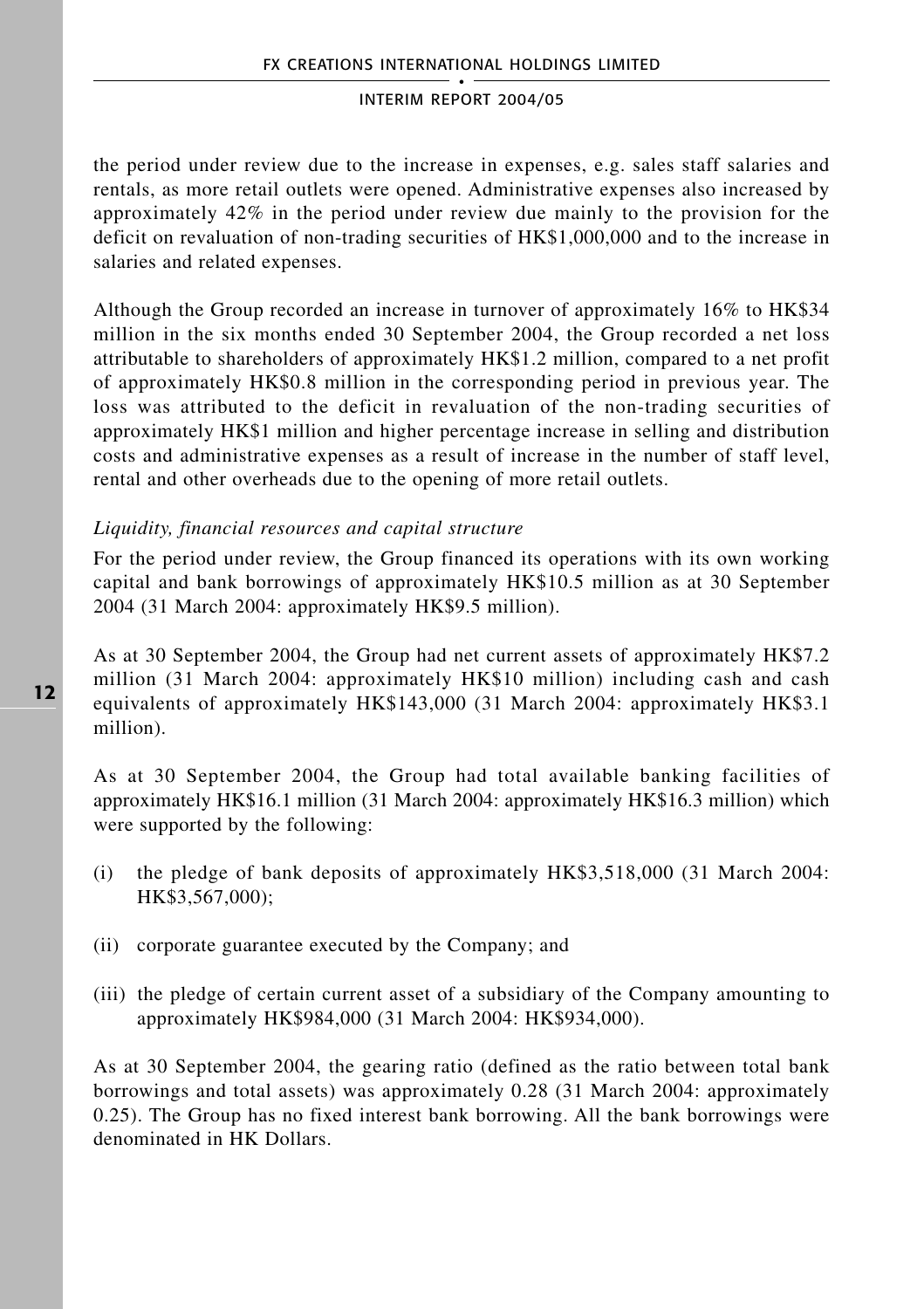the period under review due to the increase in expenses, e.g. sales staff salaries and rentals, as more retail outlets were opened. Administrative expenses also increased by approximately 42% in the period under review due mainly to the provision for the deficit on revaluation of non-trading securities of HK\$1,000,000 and to the increase in salaries and related expenses.

Although the Group recorded an increase in turnover of approximately 16% to HK\$34 million in the six months ended 30 September 2004, the Group recorded a net loss attributable to shareholders of approximately HK\$1.2 million, compared to a net profit of approximately HK\$0.8 million in the corresponding period in previous year. The loss was attributed to the deficit in revaluation of the non-trading securities of approximately HK\$1 million and higher percentage increase in selling and distribution costs and administrative expenses as a result of increase in the number of staff level, rental and other overheads due to the opening of more retail outlets.

## *Liquidity, financial resources and capital structure*

For the period under review, the Group financed its operations with its own working capital and bank borrowings of approximately HK\$10.5 million as at 30 September 2004 (31 March 2004: approximately HK\$9.5 million).

As at 30 September 2004, the Group had net current assets of approximately HK\$7.2 million (31 March 2004: approximately HK\$10 million) including cash and cash equivalents of approximately HK\$143,000 (31 March 2004: approximately HK\$3.1 million).

As at 30 September 2004, the Group had total available banking facilities of approximately HK\$16.1 million (31 March 2004: approximately HK\$16.3 million) which were supported by the following:

- (i) the pledge of bank deposits of approximately HK\$3,518,000 (31 March 2004: HK\$3,567,000);
- (ii) corporate guarantee executed by the Company; and
- (iii) the pledge of certain current asset of a subsidiary of the Company amounting to approximately HK\$984,000 (31 March 2004: HK\$934,000).

As at 30 September 2004, the gearing ratio (defined as the ratio between total bank borrowings and total assets) was approximately 0.28 (31 March 2004: approximately 0.25). The Group has no fixed interest bank borrowing. All the bank borrowings were denominated in HK Dollars.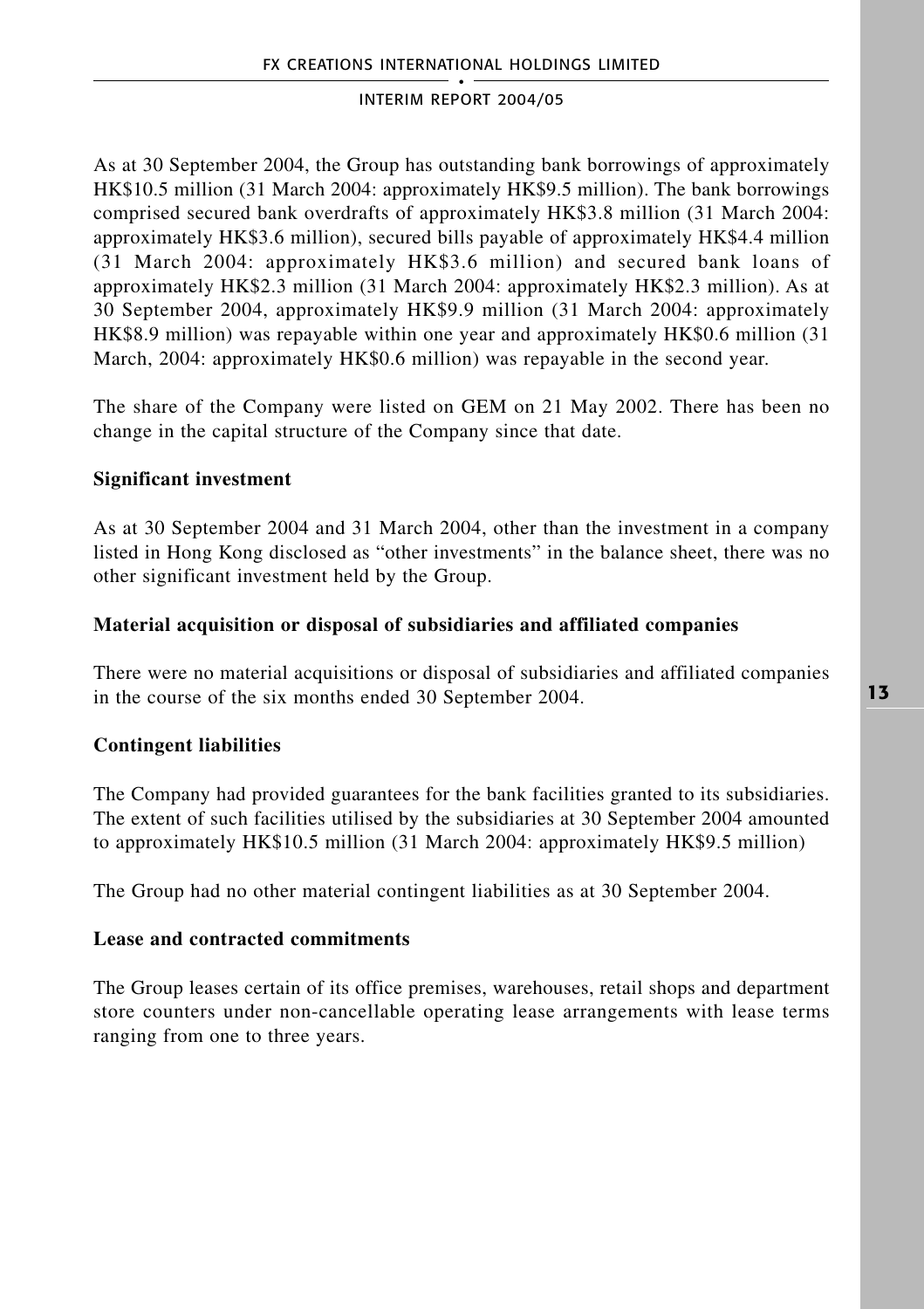As at 30 September 2004, the Group has outstanding bank borrowings of approximately HK\$10.5 million (31 March 2004: approximately HK\$9.5 million). The bank borrowings comprised secured bank overdrafts of approximately HK\$3.8 million (31 March 2004: approximately HK\$3.6 million), secured bills payable of approximately HK\$4.4 million (31 March 2004: approximately HK\$3.6 million) and secured bank loans of approximately HK\$2.3 million (31 March 2004: approximately HK\$2.3 million). As at 30 September 2004, approximately HK\$9.9 million (31 March 2004: approximately HK\$8.9 million) was repayable within one year and approximately HK\$0.6 million (31 March, 2004: approximately HK\$0.6 million) was repayable in the second year.

The share of the Company were listed on GEM on 21 May 2002. There has been no change in the capital structure of the Company since that date.

## **Significant investment**

As at 30 September 2004 and 31 March 2004, other than the investment in a company listed in Hong Kong disclosed as "other investments" in the balance sheet, there was no other significant investment held by the Group.

## **Material acquisition or disposal of subsidiaries and affiliated companies**

There were no material acquisitions or disposal of subsidiaries and affiliated companies in the course of the six months ended 30 September 2004.

# **Contingent liabilities**

The Company had provided guarantees for the bank facilities granted to its subsidiaries. The extent of such facilities utilised by the subsidiaries at 30 September 2004 amounted to approximately HK\$10.5 million (31 March 2004: approximately HK\$9.5 million)

The Group had no other material contingent liabilities as at 30 September 2004.

## **Lease and contracted commitments**

The Group leases certain of its office premises, warehouses, retail shops and department store counters under non-cancellable operating lease arrangements with lease terms ranging from one to three years.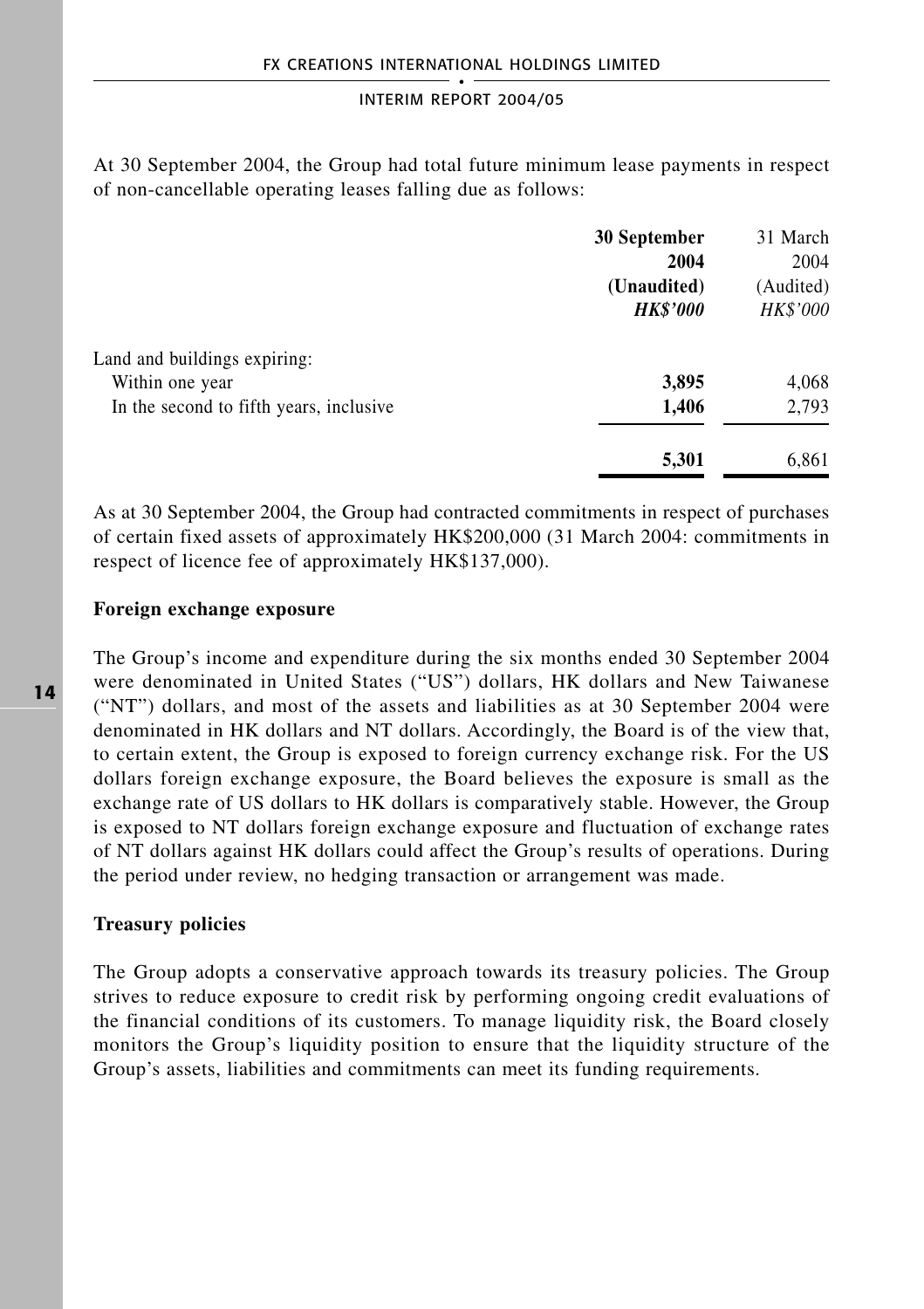At 30 September 2004, the Group had total future minimum lease payments in respect of non-cancellable operating leases falling due as follows:

|                                         | 30 September    | 31 March  |  |
|-----------------------------------------|-----------------|-----------|--|
|                                         | 2004            | 2004      |  |
|                                         | (Unaudited)     | (Audited) |  |
|                                         | <b>HK\$'000</b> | HK\$'000  |  |
| Land and buildings expiring:            |                 |           |  |
| Within one year                         | 3,895           | 4,068     |  |
| In the second to fifth years, inclusive | 1,406           | 2,793     |  |
|                                         | 5,301           | 6,861     |  |

As at 30 September 2004, the Group had contracted commitments in respect of purchases of certain fixed assets of approximately HK\$200,000 (31 March 2004: commitments in respect of licence fee of approximately HK\$137,000).

### **Foreign exchange exposure**

The Group's income and expenditure during the six months ended 30 September 2004 were denominated in United States ("US") dollars, HK dollars and New Taiwanese ("NT") dollars, and most of the assets and liabilities as at 30 September 2004 were denominated in HK dollars and NT dollars. Accordingly, the Board is of the view that, to certain extent, the Group is exposed to foreign currency exchange risk. For the US dollars foreign exchange exposure, the Board believes the exposure is small as the exchange rate of US dollars to HK dollars is comparatively stable. However, the Group is exposed to NT dollars foreign exchange exposure and fluctuation of exchange rates of NT dollars against HK dollars could affect the Group's results of operations. During the period under review, no hedging transaction or arrangement was made.

### **Treasury policies**

The Group adopts a conservative approach towards its treasury policies. The Group strives to reduce exposure to credit risk by performing ongoing credit evaluations of the financial conditions of its customers. To manage liquidity risk, the Board closely monitors the Group's liquidity position to ensure that the liquidity structure of the Group's assets, liabilities and commitments can meet its funding requirements.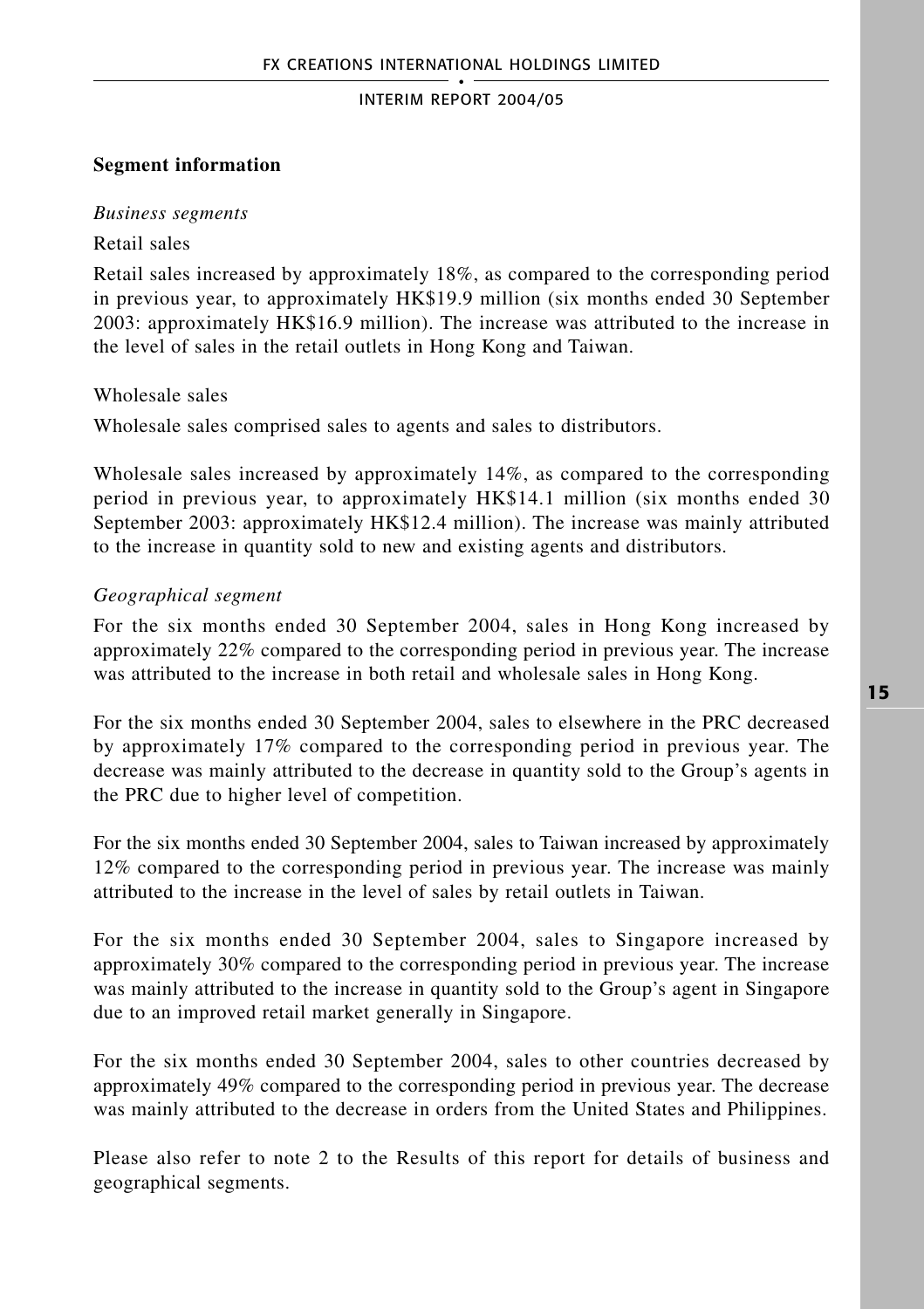### **Segment information**

#### *Business segments*

#### Retail sales

Retail sales increased by approximately 18%, as compared to the corresponding period in previous year, to approximately HK\$19.9 million (six months ended 30 September 2003: approximately HK\$16.9 million). The increase was attributed to the increase in the level of sales in the retail outlets in Hong Kong and Taiwan.

Wholesale sales

Wholesale sales comprised sales to agents and sales to distributors.

Wholesale sales increased by approximately 14%, as compared to the corresponding period in previous year, to approximately HK\$14.1 million (six months ended 30 September 2003: approximately HK\$12.4 million). The increase was mainly attributed to the increase in quantity sold to new and existing agents and distributors.

#### *Geographical segment*

For the six months ended 30 September 2004, sales in Hong Kong increased by approximately 22% compared to the corresponding period in previous year. The increase was attributed to the increase in both retail and wholesale sales in Hong Kong.

For the six months ended 30 September 2004, sales to elsewhere in the PRC decreased by approximately 17% compared to the corresponding period in previous year. The decrease was mainly attributed to the decrease in quantity sold to the Group's agents in the PRC due to higher level of competition.

For the six months ended 30 September 2004, sales to Taiwan increased by approximately 12% compared to the corresponding period in previous year. The increase was mainly attributed to the increase in the level of sales by retail outlets in Taiwan.

For the six months ended 30 September 2004, sales to Singapore increased by approximately 30% compared to the corresponding period in previous year. The increase was mainly attributed to the increase in quantity sold to the Group's agent in Singapore due to an improved retail market generally in Singapore.

For the six months ended 30 September 2004, sales to other countries decreased by approximately 49% compared to the corresponding period in previous year. The decrease was mainly attributed to the decrease in orders from the United States and Philippines.

Please also refer to note 2 to the Results of this report for details of business and geographical segments.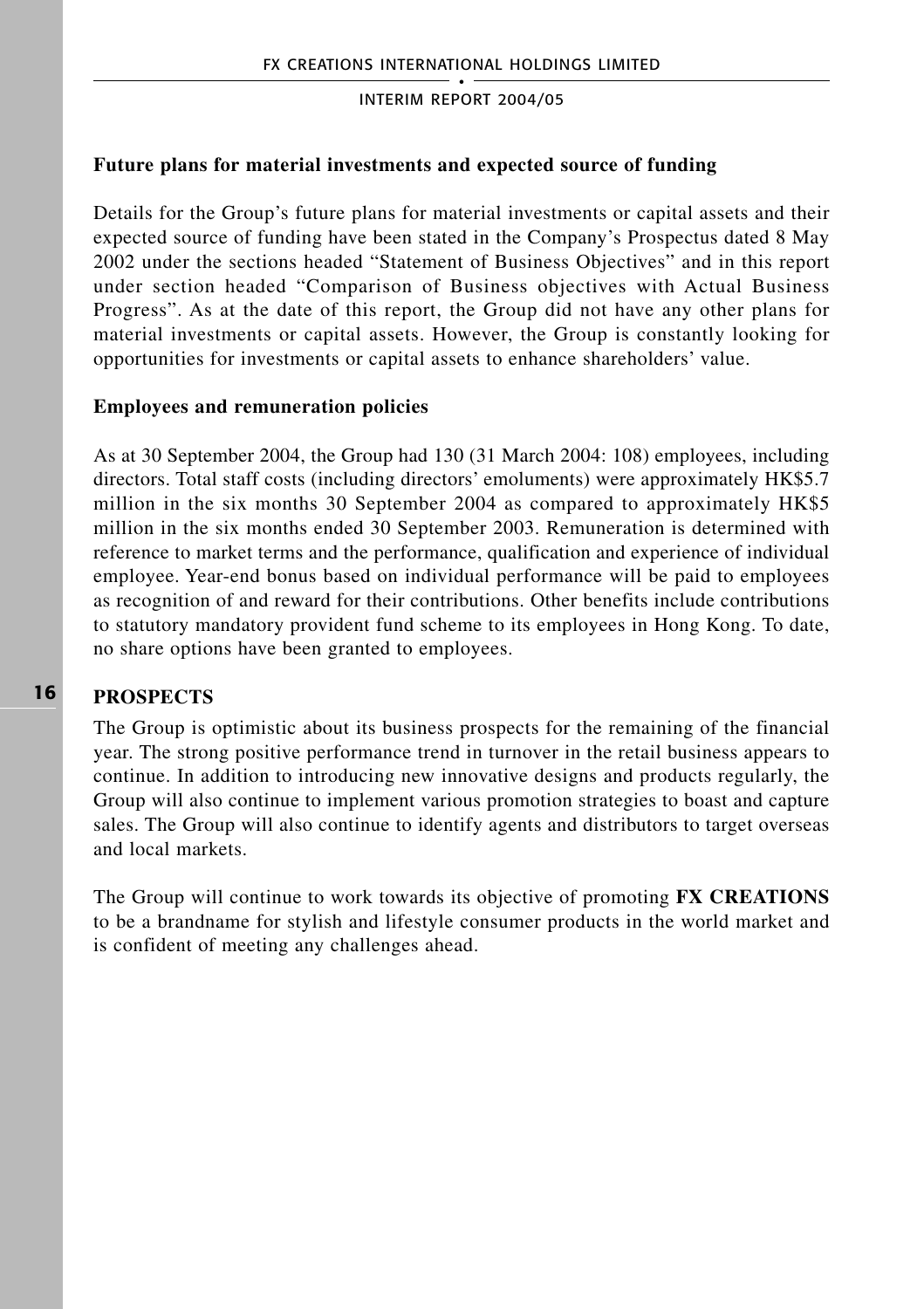## **Future plans for material investments and expected source of funding**

Details for the Group's future plans for material investments or capital assets and their expected source of funding have been stated in the Company's Prospectus dated 8 May 2002 under the sections headed "Statement of Business Objectives" and in this report under section headed "Comparison of Business objectives with Actual Business Progress". As at the date of this report, the Group did not have any other plans for material investments or capital assets. However, the Group is constantly looking for opportunities for investments or capital assets to enhance shareholders' value.

## **Employees and remuneration policies**

As at 30 September 2004, the Group had 130 (31 March 2004: 108) employees, including directors. Total staff costs (including directors' emoluments) were approximately HK\$5.7 million in the six months 30 September 2004 as compared to approximately HK\$5 million in the six months ended 30 September 2003. Remuneration is determined with reference to market terms and the performance, qualification and experience of individual employee. Year-end bonus based on individual performance will be paid to employees as recognition of and reward for their contributions. Other benefits include contributions to statutory mandatory provident fund scheme to its employees in Hong Kong. To date, no share options have been granted to employees.

## **16**

**PROSPECTS**

The Group is optimistic about its business prospects for the remaining of the financial year. The strong positive performance trend in turnover in the retail business appears to continue. In addition to introducing new innovative designs and products regularly, the Group will also continue to implement various promotion strategies to boast and capture sales. The Group will also continue to identify agents and distributors to target overseas and local markets.

The Group will continue to work towards its objective of promoting **FX CREATIONS** to be a brandname for stylish and lifestyle consumer products in the world market and is confident of meeting any challenges ahead.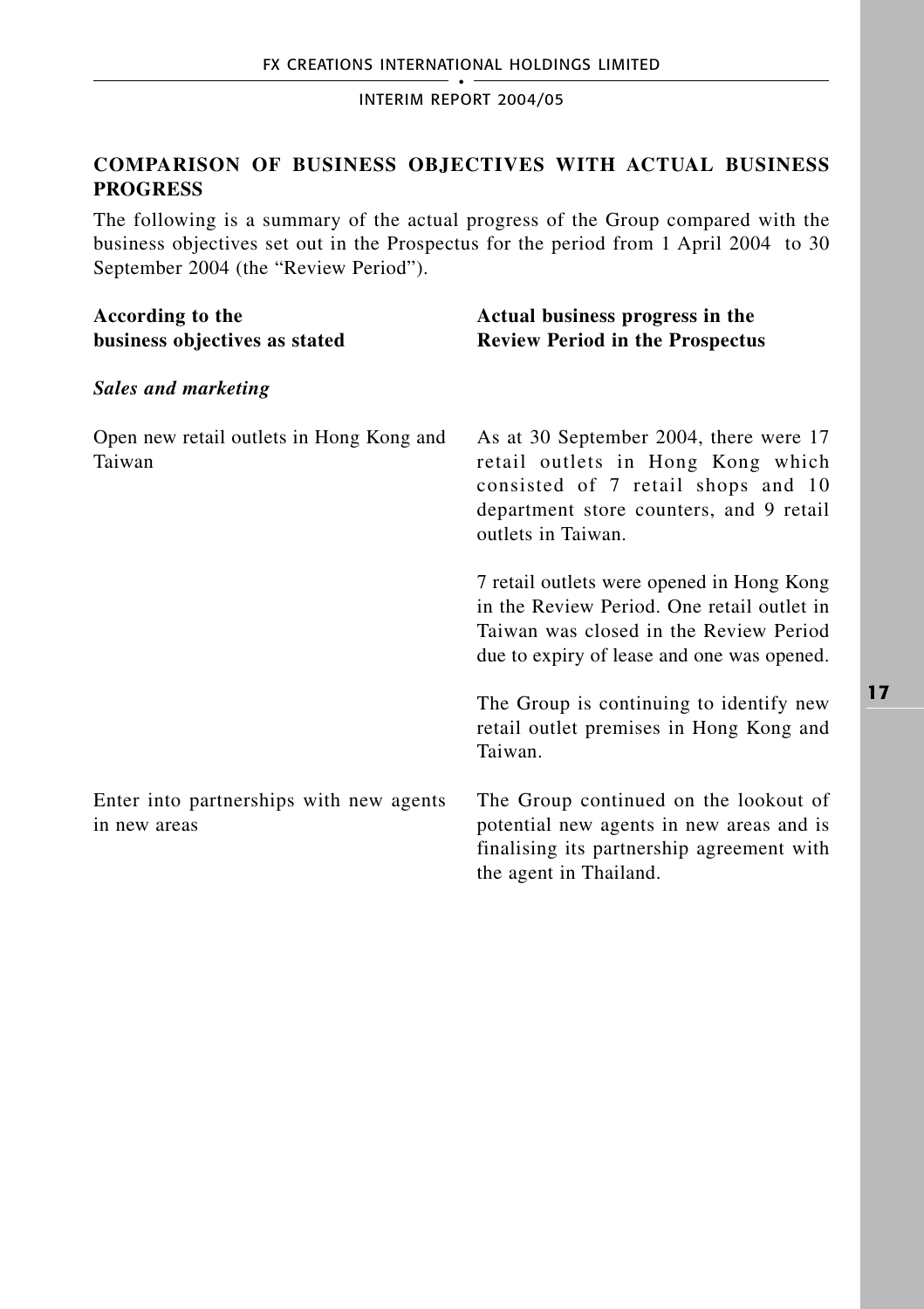# **COMPARISON OF BUSINESS OBJECTIVES WITH ACTUAL BUSINESS PROGRESS**

The following is a summary of the actual progress of the Group compared with the business objectives set out in the Prospectus for the period from 1 April 2004 to 30 September 2004 (the "Review Period").

| According to the<br>business objectives as stated       | Actual business progress in the<br><b>Review Period in the Prospectus</b>                                                                                                          |
|---------------------------------------------------------|------------------------------------------------------------------------------------------------------------------------------------------------------------------------------------|
| Sales and marketing                                     |                                                                                                                                                                                    |
| Open new retail outlets in Hong Kong and<br>Taiwan      | As at 30 September 2004, there were 17<br>retail outlets in Hong Kong which<br>consisted of 7 retail shops and 10<br>department store counters, and 9 retail<br>outlets in Taiwan. |
|                                                         | 7 retail outlets were opened in Hong Kong<br>in the Review Period. One retail outlet in<br>Taiwan was closed in the Review Period<br>due to expiry of lease and one was opened.    |
|                                                         | The Group is continuing to identify new<br>retail outlet premises in Hong Kong and<br>Taiwan.                                                                                      |
| Enter into partnerships with new agents<br>in new areas | The Group continued on the lookout of<br>potential new agents in new areas and is<br>finalising its partnership agreement with<br>the agent in Thailand.                           |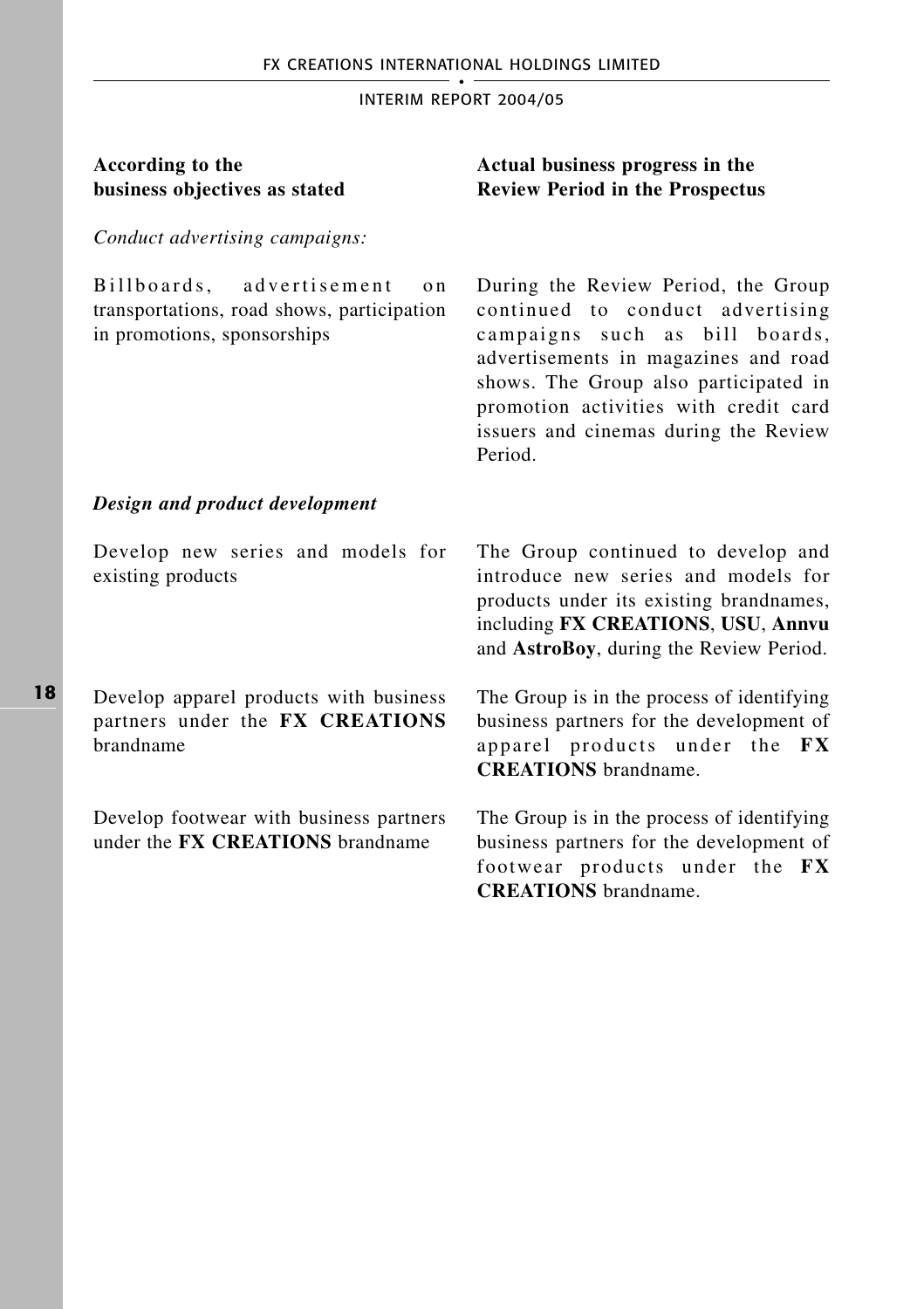| According to the<br>business objectives as stated                                                                | Actual business progress in the<br><b>Review Period in the Prospectus</b>                                                                                                                                                                                                               |
|------------------------------------------------------------------------------------------------------------------|-----------------------------------------------------------------------------------------------------------------------------------------------------------------------------------------------------------------------------------------------------------------------------------------|
| Conduct advertising campaigns:                                                                                   |                                                                                                                                                                                                                                                                                         |
| advertisement<br>Billboards,<br>o n<br>transportations, road shows, participation<br>in promotions, sponsorships | During the Review Period, the Group<br>continued to conduct advertising<br>campaigns such as bill boards,<br>advertisements in magazines and road<br>shows. The Group also participated in<br>promotion activities with credit card<br>issuers and cinemas during the Review<br>Period. |
| Design and product development                                                                                   |                                                                                                                                                                                                                                                                                         |
| Develop new series and models for<br>existing products                                                           | The Group continued to develop and<br>introduce new series and models for<br>products under its existing brandnames,<br>including FX CREATIONS, USU, Annvu<br>and AstroBoy, during the Review Period.                                                                                   |
| Develop apparel products with business<br>partners under the FX CREATIONS<br>brandname                           | The Group is in the process of identifying<br>business partners for the development of<br>apparel products under the FX<br><b>CREATIONS</b> brandname.                                                                                                                                  |
| Develop footwear with business partners<br>under the FX CREATIONS brandname                                      | The Group is in the process of identifying<br>business partners for the development of<br>footwear products under the FX                                                                                                                                                                |

**CREATIONS** brandname.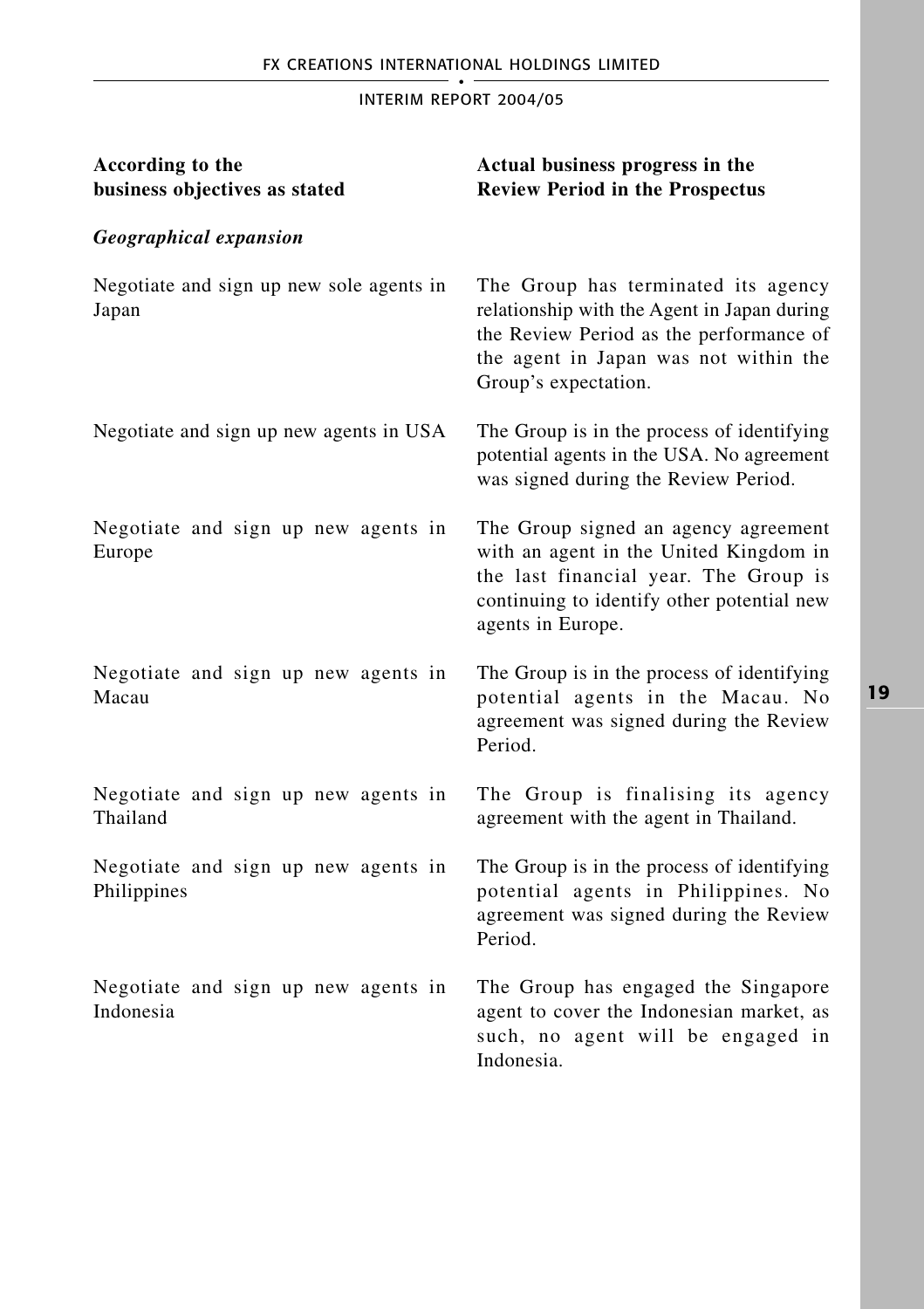| According to the<br>business objectives as stated  | Actual business progress in the<br><b>Review Period in the Prospectus</b>                                                                                                                      |
|----------------------------------------------------|------------------------------------------------------------------------------------------------------------------------------------------------------------------------------------------------|
| <b>Geographical expansion</b>                      |                                                                                                                                                                                                |
| Negotiate and sign up new sole agents in<br>Japan  | The Group has terminated its agency<br>relationship with the Agent in Japan during<br>the Review Period as the performance of<br>the agent in Japan was not within the<br>Group's expectation. |
| Negotiate and sign up new agents in USA            | The Group is in the process of identifying<br>potential agents in the USA. No agreement<br>was signed during the Review Period.                                                                |
| Negotiate and sign up new agents in<br>Europe      | The Group signed an agency agreement<br>with an agent in the United Kingdom in<br>the last financial year. The Group is<br>continuing to identify other potential new<br>agents in Europe.     |
| Negotiate and sign up new agents in<br>Macau       | The Group is in the process of identifying<br>potential agents in the Macau. No<br>agreement was signed during the Review<br>Period.                                                           |
| Negotiate and sign up new agents in<br>Thailand    | The Group is finalising its agency<br>agreement with the agent in Thailand.                                                                                                                    |
| Negotiate and sign up new agents in<br>Philippines | The Group is in the process of identifying<br>potential agents in Philippines. No<br>agreement was signed during the Review<br>Period.                                                         |
| Negotiate and sign up new agents in<br>Indonesia   | The Group has engaged the Singapore<br>agent to cover the Indonesian market, as<br>such, no agent will be engaged in<br>Indonesia.                                                             |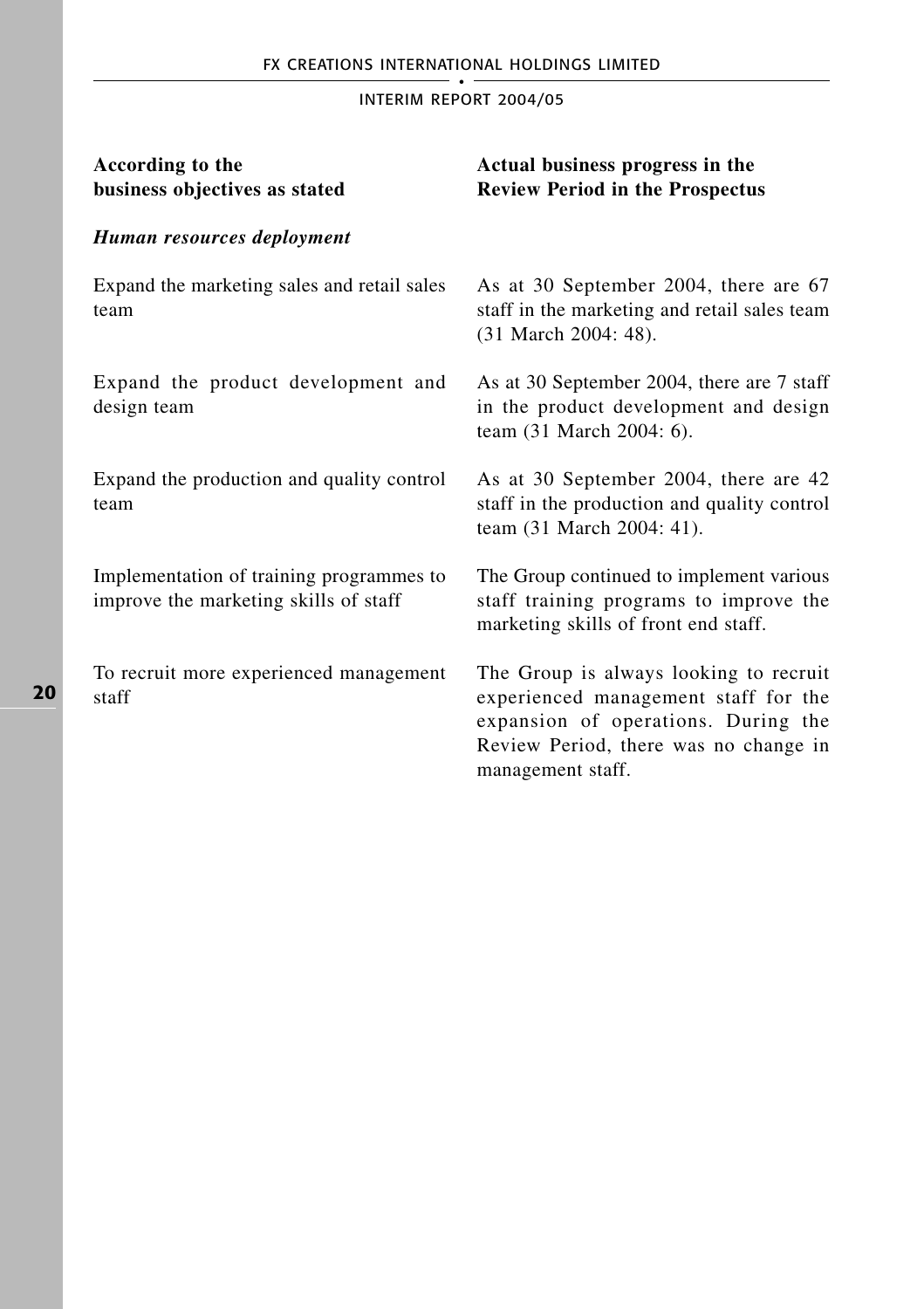| According to the<br>business objectives as stated                                 | Actual business progress in the<br><b>Review Period in the Prospectus</b>                                                                                                           |
|-----------------------------------------------------------------------------------|-------------------------------------------------------------------------------------------------------------------------------------------------------------------------------------|
| Human resources deployment                                                        |                                                                                                                                                                                     |
| Expand the marketing sales and retail sales<br>team                               | As at 30 September 2004, there are 67<br>staff in the marketing and retail sales team<br>(31 March 2004: 48).                                                                       |
| Expand the product development and<br>design team                                 | As at 30 September 2004, there are 7 staff<br>in the product development and design<br>team (31 March 2004: 6).                                                                     |
| Expand the production and quality control<br>team                                 | As at 30 September 2004, there are 42<br>staff in the production and quality control<br>team (31 March 2004: 41).                                                                   |
| Implementation of training programmes to<br>improve the marketing skills of staff | The Group continued to implement various<br>staff training programs to improve the<br>marketing skills of front end staff.                                                          |
| To recruit more experienced management<br>staff                                   | The Group is always looking to recruit<br>experienced management staff for the<br>expansion of operations. During the<br>Review Period, there was no change in<br>management staff. |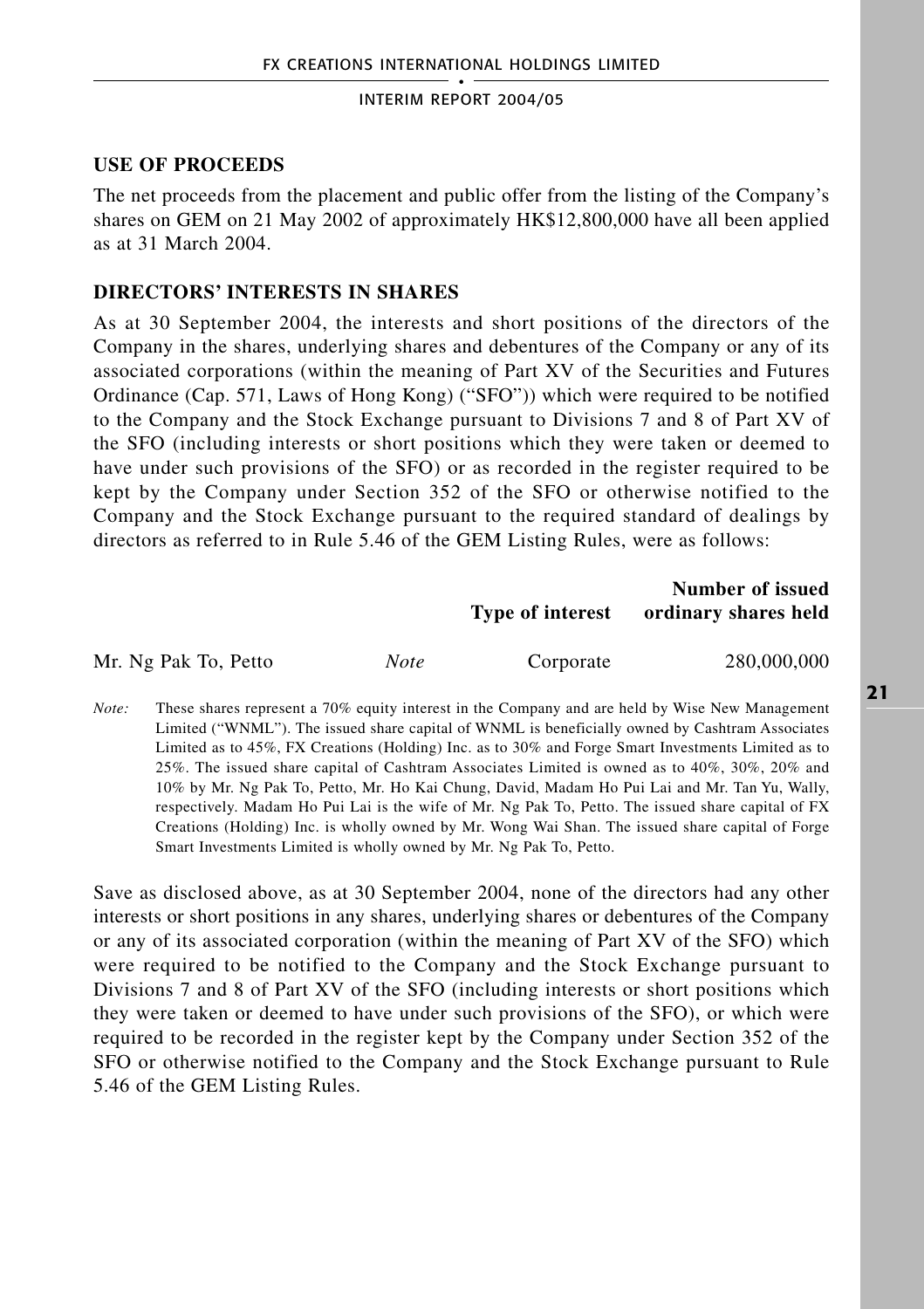## **USE OF PROCEEDS**

The net proceeds from the placement and public offer from the listing of the Company's shares on GEM on 21 May 2002 of approximately HK\$12,800,000 have all been applied as at 31 March 2004.

### **DIRECTORS' INTERESTS IN SHARES**

As at 30 September 2004, the interests and short positions of the directors of the Company in the shares, underlying shares and debentures of the Company or any of its associated corporations (within the meaning of Part XV of the Securities and Futures Ordinance (Cap. 571, Laws of Hong Kong) ("SFO")) which were required to be notified to the Company and the Stock Exchange pursuant to Divisions 7 and 8 of Part XV of the SFO (including interests or short positions which they were taken or deemed to have under such provisions of the SFO) or as recorded in the register required to be kept by the Company under Section 352 of the SFO or otherwise notified to the Company and the Stock Exchange pursuant to the required standard of dealings by directors as referred to in Rule 5.46 of the GEM Listing Rules, were as follows:

|                      |      | Type of interest | Number of issued<br>ordinary shares held |
|----------------------|------|------------------|------------------------------------------|
| Mr. Ng Pak To, Petto | Note | Corporate        | 280,000,000                              |

*Note:* These shares represent a 70% equity interest in the Company and are held by Wise New Management Limited ("WNML"). The issued share capital of WNML is beneficially owned by Cashtram Associates Limited as to 45%, FX Creations (Holding) Inc. as to 30% and Forge Smart Investments Limited as to 25%. The issued share capital of Cashtram Associates Limited is owned as to 40%, 30%, 20% and 10% by Mr. Ng Pak To, Petto, Mr. Ho Kai Chung, David, Madam Ho Pui Lai and Mr. Tan Yu, Wally, respectively. Madam Ho Pui Lai is the wife of Mr. Ng Pak To, Petto. The issued share capital of FX Creations (Holding) Inc. is wholly owned by Mr. Wong Wai Shan. The issued share capital of Forge Smart Investments Limited is wholly owned by Mr. Ng Pak To, Petto.

Save as disclosed above, as at 30 September 2004, none of the directors had any other interests or short positions in any shares, underlying shares or debentures of the Company or any of its associated corporation (within the meaning of Part XV of the SFO) which were required to be notified to the Company and the Stock Exchange pursuant to Divisions 7 and 8 of Part XV of the SFO (including interests or short positions which they were taken or deemed to have under such provisions of the SFO), or which were required to be recorded in the register kept by the Company under Section 352 of the SFO or otherwise notified to the Company and the Stock Exchange pursuant to Rule 5.46 of the GEM Listing Rules.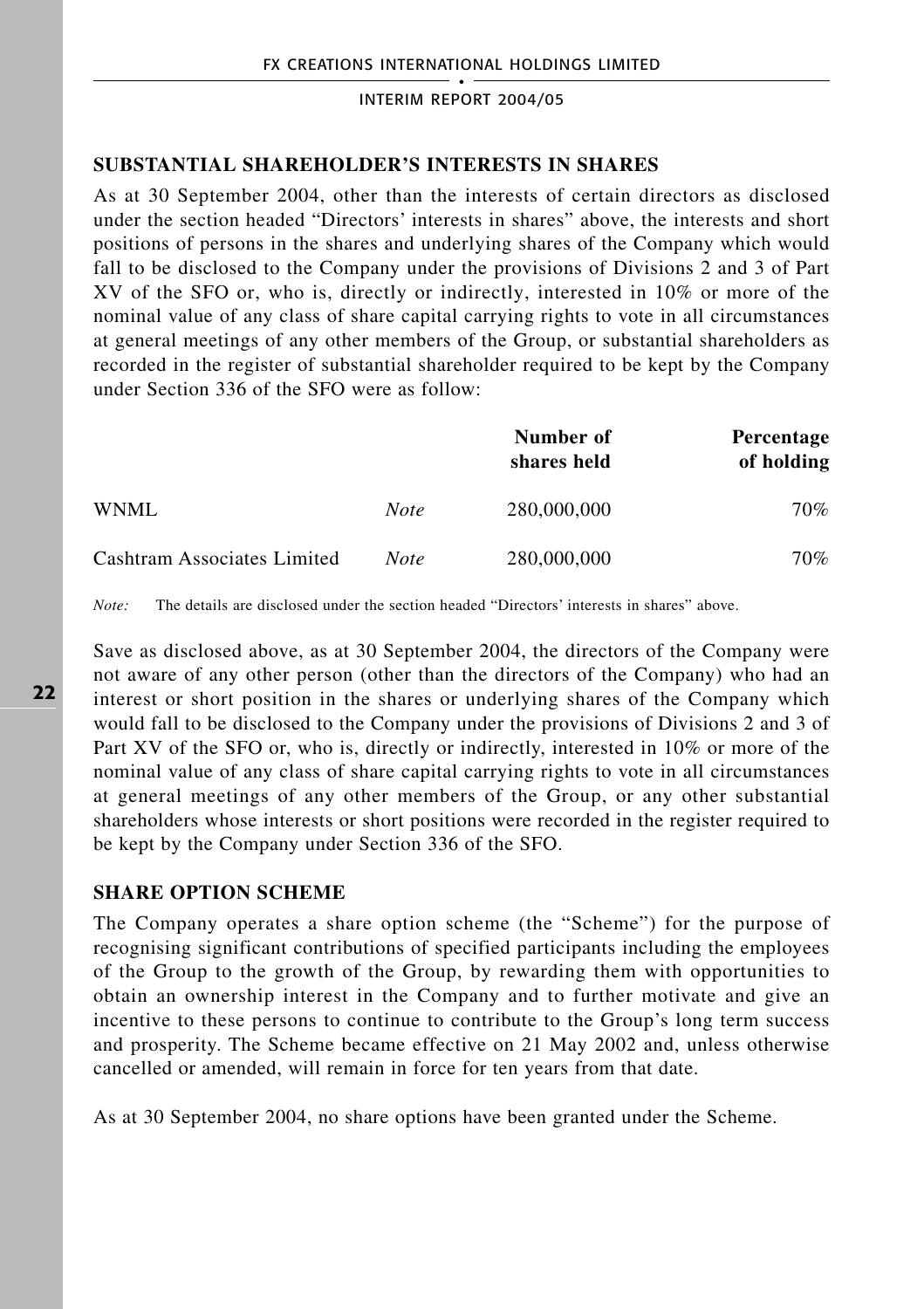## **SUBSTANTIAL SHAREHOLDER'S INTERESTS IN SHARES**

As at 30 September 2004, other than the interests of certain directors as disclosed under the section headed "Directors' interests in shares" above, the interests and short positions of persons in the shares and underlying shares of the Company which would fall to be disclosed to the Company under the provisions of Divisions 2 and 3 of Part XV of the SFO or, who is, directly or indirectly, interested in 10% or more of the nominal value of any class of share capital carrying rights to vote in all circumstances at general meetings of any other members of the Group, or substantial shareholders as recorded in the register of substantial shareholder required to be kept by the Company under Section 336 of the SFO were as follow:

|                             |             | Number of<br>shares held | Percentage<br>of holding |
|-----------------------------|-------------|--------------------------|--------------------------|
| WNML.                       | <b>Note</b> | 280,000,000              | 70%                      |
| Cashtram Associates Limited | <b>Note</b> | 280,000,000              | 70%                      |

*Note:* The details are disclosed under the section headed "Directors' interests in shares" above.

Save as disclosed above, as at 30 September 2004, the directors of the Company were not aware of any other person (other than the directors of the Company) who had an interest or short position in the shares or underlying shares of the Company which would fall to be disclosed to the Company under the provisions of Divisions 2 and 3 of Part XV of the SFO or, who is, directly or indirectly, interested in 10% or more of the nominal value of any class of share capital carrying rights to vote in all circumstances at general meetings of any other members of the Group, or any other substantial shareholders whose interests or short positions were recorded in the register required to be kept by the Company under Section 336 of the SFO.

## **SHARE OPTION SCHEME**

The Company operates a share option scheme (the "Scheme") for the purpose of recognising significant contributions of specified participants including the employees of the Group to the growth of the Group, by rewarding them with opportunities to obtain an ownership interest in the Company and to further motivate and give an incentive to these persons to continue to contribute to the Group's long term success and prosperity. The Scheme became effective on 21 May 2002 and, unless otherwise cancelled or amended, will remain in force for ten years from that date.

As at 30 September 2004, no share options have been granted under the Scheme.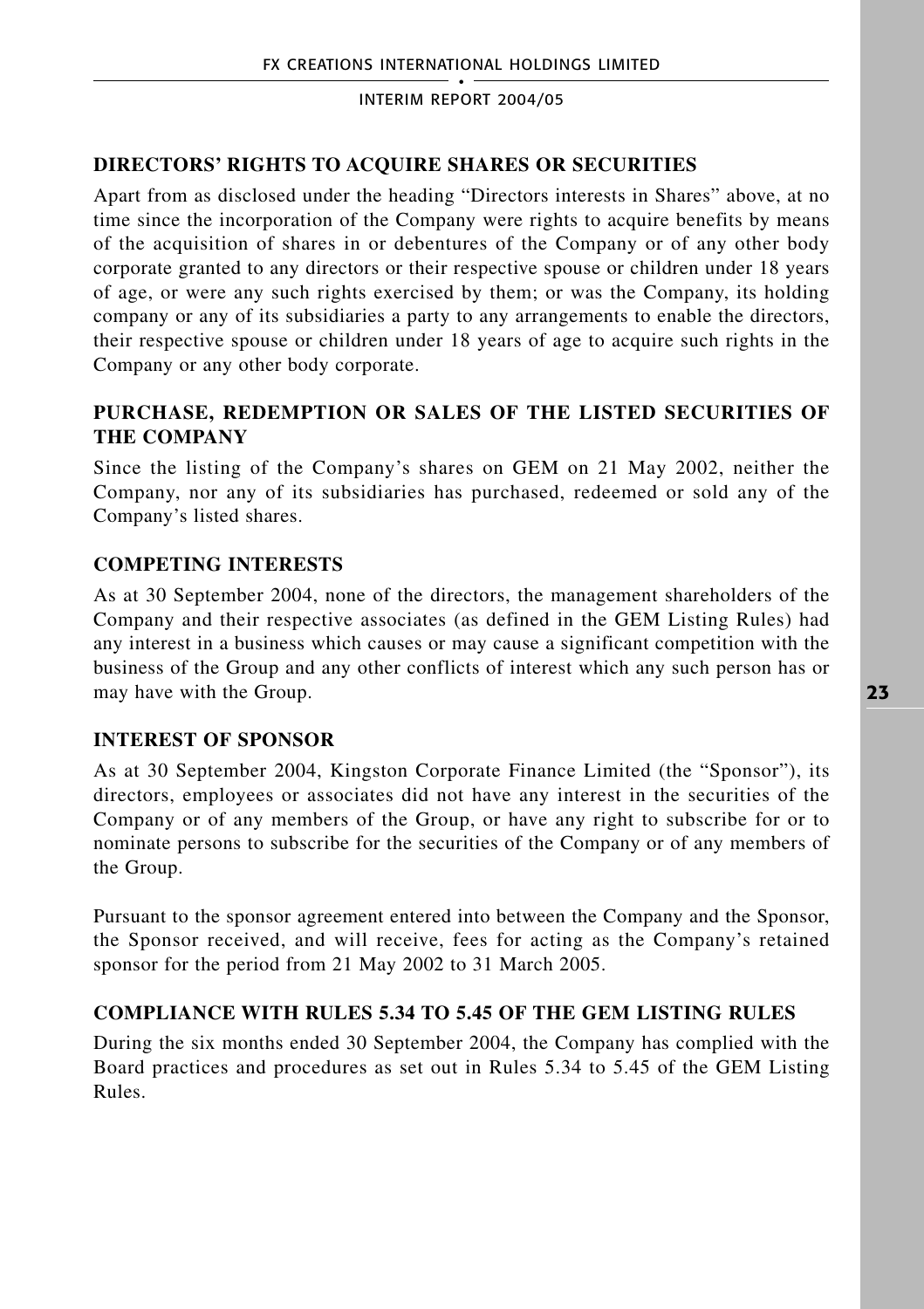# **DIRECTORS' RIGHTS TO ACQUIRE SHARES OR SECURITIES**

Apart from as disclosed under the heading "Directors interests in Shares" above, at no time since the incorporation of the Company were rights to acquire benefits by means of the acquisition of shares in or debentures of the Company or of any other body corporate granted to any directors or their respective spouse or children under 18 years of age, or were any such rights exercised by them; or was the Company, its holding company or any of its subsidiaries a party to any arrangements to enable the directors, their respective spouse or children under 18 years of age to acquire such rights in the Company or any other body corporate.

# **PURCHASE, REDEMPTION OR SALES OF THE LISTED SECURITIES OF THE COMPANY**

Since the listing of the Company's shares on GEM on 21 May 2002, neither the Company, nor any of its subsidiaries has purchased, redeemed or sold any of the Company's listed shares.

# **COMPETING INTERESTS**

As at 30 September 2004, none of the directors, the management shareholders of the Company and their respective associates (as defined in the GEM Listing Rules) had any interest in a business which causes or may cause a significant competition with the business of the Group and any other conflicts of interest which any such person has or may have with the Group.

# **INTEREST OF SPONSOR**

As at 30 September 2004, Kingston Corporate Finance Limited (the "Sponsor"), its directors, employees or associates did not have any interest in the securities of the Company or of any members of the Group, or have any right to subscribe for or to nominate persons to subscribe for the securities of the Company or of any members of the Group.

Pursuant to the sponsor agreement entered into between the Company and the Sponsor, the Sponsor received, and will receive, fees for acting as the Company's retained sponsor for the period from 21 May 2002 to 31 March 2005.

# **COMPLIANCE WITH RULES 5.34 TO 5.45 OF THE GEM LISTING RULES**

During the six months ended 30 September 2004, the Company has complied with the Board practices and procedures as set out in Rules 5.34 to 5.45 of the GEM Listing Rules.